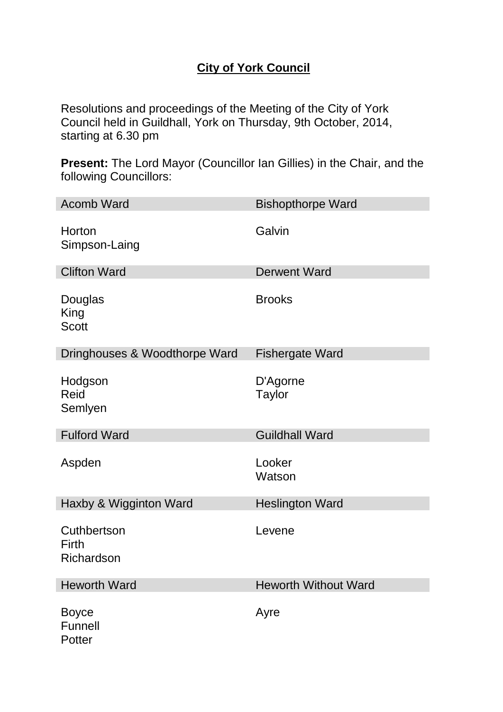# **City of York Council**

Resolutions and proceedings of the Meeting of the City of York Council held in Guildhall, York on Thursday, 9th October, 2014, starting at 6.30 pm

**Present:** The Lord Mayor (Councillor Ian Gillies) in the Chair, and the following Councillors:

| <b>Acomb Ward</b>                  | <b>Bishopthorpe Ward</b>    |
|------------------------------------|-----------------------------|
| Horton<br>Simpson-Laing            | Galvin                      |
| <b>Clifton Ward</b>                | <b>Derwent Ward</b>         |
| Douglas<br>King<br><b>Scott</b>    | <b>Brooks</b>               |
| Dringhouses & Woodthorpe Ward      | <b>Fishergate Ward</b>      |
| Hodgson<br>Reid<br>Semlyen         | D'Agorne<br><b>Taylor</b>   |
| <b>Fulford Ward</b>                | <b>Guildhall Ward</b>       |
| Aspden                             | Looker<br>Watson            |
| Haxby & Wigginton Ward             | <b>Heslington Ward</b>      |
| Cuthbertson<br>Firth<br>Richardson | Levene                      |
| <b>Heworth Ward</b>                | <b>Heworth Without Ward</b> |
| <b>Boyce</b><br>Funnell<br>Potter  | Ayre                        |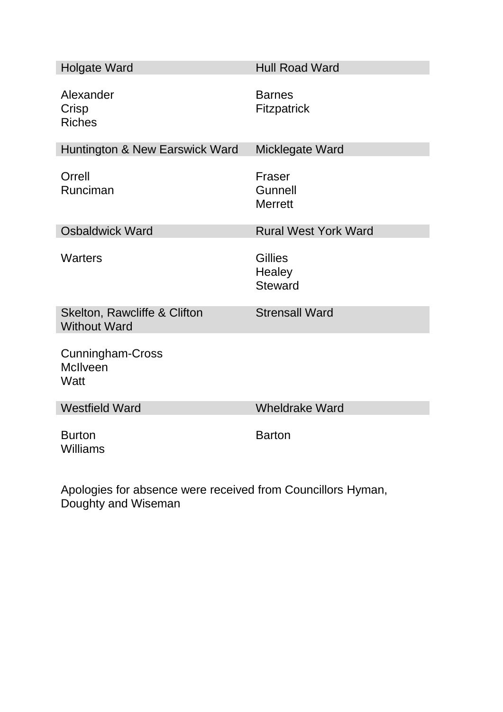| <b>Holgate Ward</b>                                             | <b>Hull Road Ward</b>                      |
|-----------------------------------------------------------------|--------------------------------------------|
| Alexander<br>Crisp<br><b>Riches</b>                             | <b>Barnes</b><br><b>Fitzpatrick</b>        |
| Huntington & New Earswick Ward                                  | Micklegate Ward                            |
| Orrell<br>Runciman                                              | Fraser<br>Gunnell<br><b>Merrett</b>        |
| <b>Osbaldwick Ward</b>                                          | <b>Rural West York Ward</b>                |
| <b>Warters</b>                                                  | <b>Gillies</b><br>Healey<br><b>Steward</b> |
| Skelton, Rawcliffe & Clifton<br><b>Without Ward</b>             | <b>Strensall Ward</b>                      |
| <b>Cunningham-Cross</b><br><b>McIlveen</b><br>Watt              |                                            |
| <b>Westfield Ward</b>                                           | <b>Wheldrake Ward</b>                      |
| <b>Burton</b><br><b>Williams</b>                                | <b>Barton</b>                              |
| $\mathbf{A}$ and $\mathbf{A}$ and $\mathbf{A}$ and $\mathbf{A}$ | $\mathbf{r}$ and $\mathbf{r}$              |

Apologies for absence were received from Councillors Hyman, Doughty and Wiseman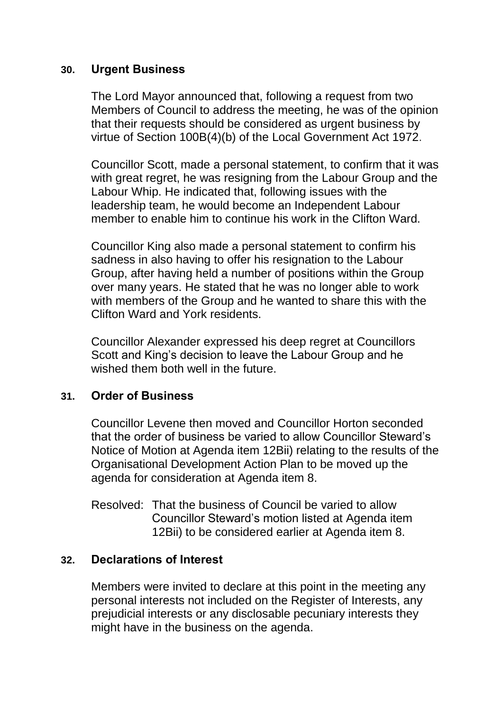#### **30. Urgent Business**

The Lord Mayor announced that, following a request from two Members of Council to address the meeting, he was of the opinion that their requests should be considered as urgent business by virtue of Section 100B(4)(b) of the Local Government Act 1972.

Councillor Scott, made a personal statement, to confirm that it was with great regret, he was resigning from the Labour Group and the Labour Whip. He indicated that, following issues with the leadership team, he would become an Independent Labour member to enable him to continue his work in the Clifton Ward.

Councillor King also made a personal statement to confirm his sadness in also having to offer his resignation to the Labour Group, after having held a number of positions within the Group over many years. He stated that he was no longer able to work with members of the Group and he wanted to share this with the Clifton Ward and York residents.

Councillor Alexander expressed his deep regret at Councillors Scott and King's decision to leave the Labour Group and he wished them both well in the future.

#### **31. Order of Business**

Councillor Levene then moved and Councillor Horton seconded that the order of business be varied to allow Councillor Steward's Notice of Motion at Agenda item 12Bii) relating to the results of the Organisational Development Action Plan to be moved up the agenda for consideration at Agenda item 8.

Resolved: That the business of Council be varied to allow Councillor Steward's motion listed at Agenda item 12Bii) to be considered earlier at Agenda item 8.

### **32. Declarations of Interest**

Members were invited to declare at this point in the meeting any personal interests not included on the Register of Interests, any prejudicial interests or any disclosable pecuniary interests they might have in the business on the agenda.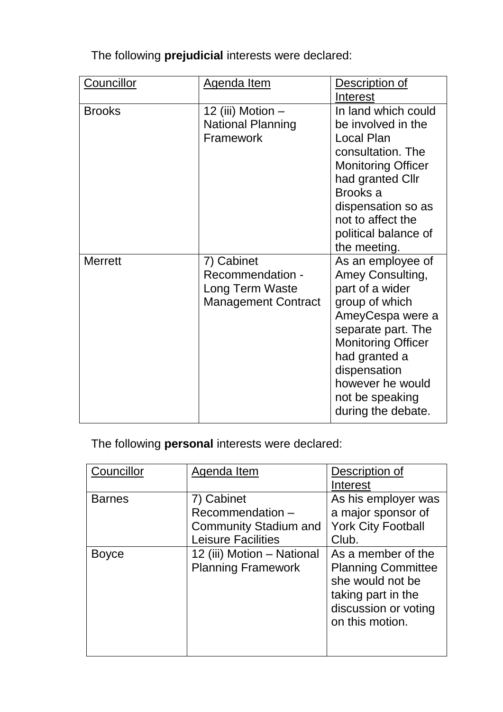| Councillor     | <b>Agenda Item</b>         | Description of            |  |
|----------------|----------------------------|---------------------------|--|
|                |                            | Interest                  |  |
| <b>Brooks</b>  | 12 (iii) Motion -          | In land which could       |  |
|                | <b>National Planning</b>   | be involved in the        |  |
|                | Framework                  | Local Plan                |  |
|                |                            | consultation. The         |  |
|                |                            | <b>Monitoring Officer</b> |  |
|                |                            | had granted Cllr          |  |
|                |                            | Brooks a                  |  |
|                |                            | dispensation so as        |  |
|                |                            | not to affect the         |  |
|                |                            | political balance of      |  |
|                |                            | the meeting.              |  |
| <b>Merrett</b> | 7) Cabinet                 | As an employee of         |  |
|                | Recommendation -           | Amey Consulting,          |  |
|                | Long Term Waste            | part of a wider           |  |
|                | <b>Management Contract</b> | group of which            |  |
|                |                            | AmeyCespa were a          |  |
|                |                            | separate part. The        |  |
|                |                            | <b>Monitoring Officer</b> |  |
|                |                            | had granted a             |  |
|                |                            | dispensation              |  |
|                |                            | however he would          |  |
|                |                            | not be speaking           |  |
|                |                            | during the debate.        |  |

The following **prejudicial** interests were declared:

The following **personal** interests were declared:

| Councillor    | Agenda Item                  | Description of            |
|---------------|------------------------------|---------------------------|
|               |                              | Interest                  |
| <b>Barnes</b> | 7) Cabinet                   | As his employer was       |
|               | Recommendation-              | a major sponsor of        |
|               | <b>Community Stadium and</b> | <b>York City Football</b> |
|               | <b>Leisure Facilities</b>    | Club.                     |
| <b>Boyce</b>  | 12 (iii) Motion – National   | As a member of the        |
|               | <b>Planning Framework</b>    | <b>Planning Committee</b> |
|               |                              | she would not be          |
|               |                              | taking part in the        |
|               |                              | discussion or voting      |
|               |                              | on this motion.           |
|               |                              |                           |
|               |                              |                           |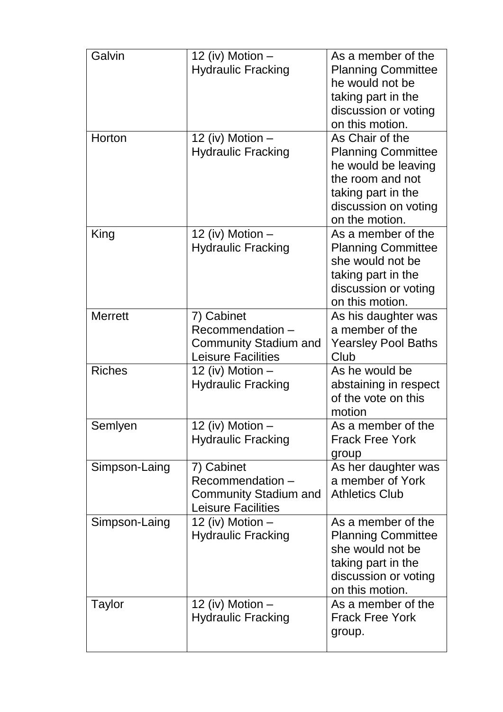| Galvin         | 12 (iv) Motion -<br><b>Hydraulic Fracking</b>                                              | As a member of the<br><b>Planning Committee</b><br>he would not be<br>taking part in the<br>discussion or voting<br>on this motion.                     |
|----------------|--------------------------------------------------------------------------------------------|---------------------------------------------------------------------------------------------------------------------------------------------------------|
| Horton         | 12 (iv) Motion -<br><b>Hydraulic Fracking</b>                                              | As Chair of the<br><b>Planning Committee</b><br>he would be leaving<br>the room and not<br>taking part in the<br>discussion on voting<br>on the motion. |
| King           | 12 (iv) Motion -<br><b>Hydraulic Fracking</b>                                              | As a member of the<br><b>Planning Committee</b><br>she would not be<br>taking part in the<br>discussion or voting<br>on this motion.                    |
| <b>Merrett</b> | 7) Cabinet<br>Recommendation-<br><b>Community Stadium and</b><br><b>Leisure Facilities</b> | As his daughter was<br>a member of the<br><b>Yearsley Pool Baths</b><br>Club                                                                            |
| <b>Riches</b>  | 12 (iv) Motion -<br><b>Hydraulic Fracking</b>                                              | As he would be<br>abstaining in respect<br>of the vote on this<br>motion                                                                                |
| Semlyen        | 12 (iv) Motion<br><b>Hydraulic Fracking</b>                                                | As a member of the<br><b>Frack Free York</b><br>group                                                                                                   |
| Simpson-Laing  | 7) Cabinet<br>Recommendation-<br><b>Community Stadium and</b><br><b>Leisure Facilities</b> | As her daughter was<br>a member of York<br><b>Athletics Club</b>                                                                                        |
| Simpson-Laing  | 12 (iv) Motion $-$<br><b>Hydraulic Fracking</b>                                            | As a member of the<br><b>Planning Committee</b><br>she would not be<br>taking part in the<br>discussion or voting<br>on this motion.                    |
| Taylor         | 12 (iv) Motion $-$<br><b>Hydraulic Fracking</b>                                            | As a member of the<br><b>Frack Free York</b><br>group.                                                                                                  |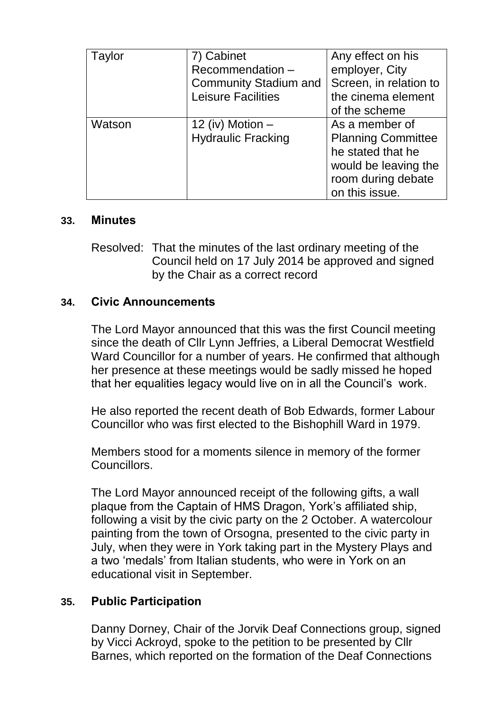| Taylor | 7) Cabinet<br>Recommendation-<br><b>Community Stadium and</b><br><b>Leisure Facilities</b> | Any effect on his<br>employer, City<br>Screen, in relation to<br>the cinema element<br>of the scheme                             |
|--------|--------------------------------------------------------------------------------------------|----------------------------------------------------------------------------------------------------------------------------------|
| Watson | 12 (iv) Motion $-$<br><b>Hydraulic Fracking</b>                                            | As a member of<br><b>Planning Committee</b><br>he stated that he<br>would be leaving the<br>room during debate<br>on this issue. |

#### **33. Minutes**

Resolved: That the minutes of the last ordinary meeting of the Council held on 17 July 2014 be approved and signed by the Chair as a correct record

#### **34. Civic Announcements**

The Lord Mayor announced that this was the first Council meeting since the death of Cllr Lynn Jeffries, a Liberal Democrat Westfield Ward Councillor for a number of years. He confirmed that although her presence at these meetings would be sadly missed he hoped that her equalities legacy would live on in all the Council's work.

He also reported the recent death of Bob Edwards, former Labour Councillor who was first elected to the Bishophill Ward in 1979.

Members stood for a moments silence in memory of the former **Councillors** 

The Lord Mayor announced receipt of the following gifts, a wall plaque from the Captain of HMS Dragon, York's affiliated ship, following a visit by the civic party on the 2 October. A watercolour painting from the town of Orsogna, presented to the civic party in July, when they were in York taking part in the Mystery Plays and a two 'medals' from Italian students, who were in York on an educational visit in September.

### **35. Public Participation**

Danny Dorney, Chair of the Jorvik Deaf Connections group, signed by Vicci Ackroyd, spoke to the petition to be presented by Cllr Barnes, which reported on the formation of the Deaf Connections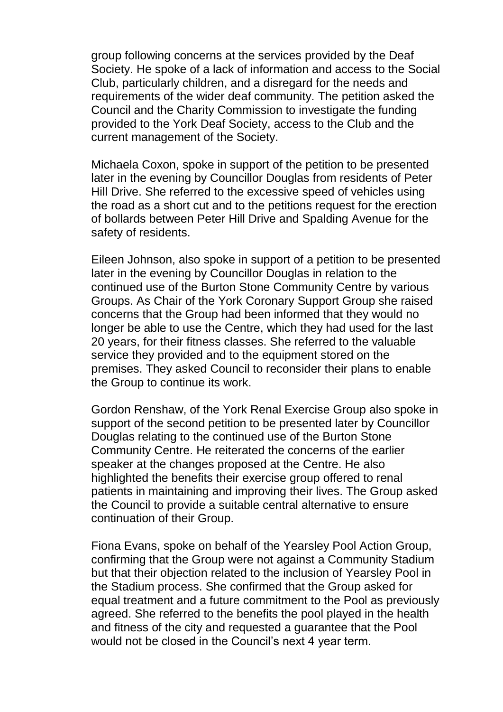group following concerns at the services provided by the Deaf Society. He spoke of a lack of information and access to the Social Club, particularly children, and a disregard for the needs and requirements of the wider deaf community. The petition asked the Council and the Charity Commission to investigate the funding provided to the York Deaf Society, access to the Club and the current management of the Society.

Michaela Coxon, spoke in support of the petition to be presented later in the evening by Councillor Douglas from residents of Peter Hill Drive. She referred to the excessive speed of vehicles using the road as a short cut and to the petitions request for the erection of bollards between Peter Hill Drive and Spalding Avenue for the safety of residents.

Eileen Johnson, also spoke in support of a petition to be presented later in the evening by Councillor Douglas in relation to the continued use of the Burton Stone Community Centre by various Groups. As Chair of the York Coronary Support Group she raised concerns that the Group had been informed that they would no longer be able to use the Centre, which they had used for the last 20 years, for their fitness classes. She referred to the valuable service they provided and to the equipment stored on the premises. They asked Council to reconsider their plans to enable the Group to continue its work.

Gordon Renshaw, of the York Renal Exercise Group also spoke in support of the second petition to be presented later by Councillor Douglas relating to the continued use of the Burton Stone Community Centre. He reiterated the concerns of the earlier speaker at the changes proposed at the Centre. He also highlighted the benefits their exercise group offered to renal patients in maintaining and improving their lives. The Group asked the Council to provide a suitable central alternative to ensure continuation of their Group.

Fiona Evans, spoke on behalf of the Yearsley Pool Action Group, confirming that the Group were not against a Community Stadium but that their objection related to the inclusion of Yearsley Pool in the Stadium process. She confirmed that the Group asked for equal treatment and a future commitment to the Pool as previously agreed. She referred to the benefits the pool played in the health and fitness of the city and requested a guarantee that the Pool would not be closed in the Council's next 4 year term.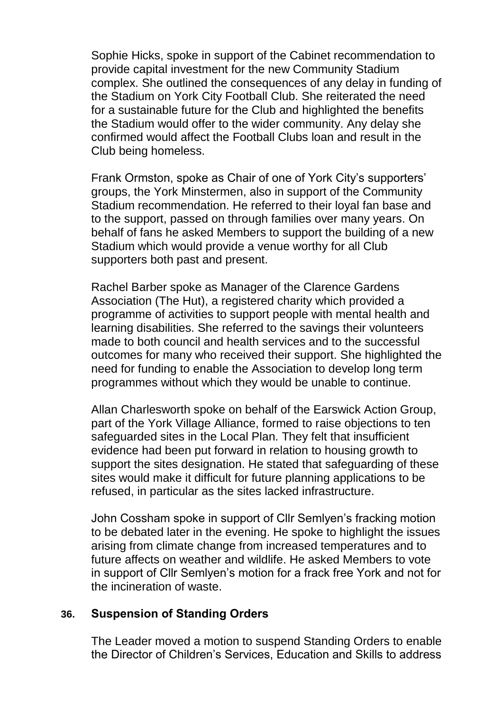Sophie Hicks, spoke in support of the Cabinet recommendation to provide capital investment for the new Community Stadium complex. She outlined the consequences of any delay in funding of the Stadium on York City Football Club. She reiterated the need for a sustainable future for the Club and highlighted the benefits the Stadium would offer to the wider community. Any delay she confirmed would affect the Football Clubs loan and result in the Club being homeless.

Frank Ormston, spoke as Chair of one of York City's supporters' groups, the York Minstermen, also in support of the Community Stadium recommendation. He referred to their loyal fan base and to the support, passed on through families over many years. On behalf of fans he asked Members to support the building of a new Stadium which would provide a venue worthy for all Club supporters both past and present.

Rachel Barber spoke as Manager of the Clarence Gardens Association (The Hut), a registered charity which provided a programme of activities to support people with mental health and learning disabilities. She referred to the savings their volunteers made to both council and health services and to the successful outcomes for many who received their support. She highlighted the need for funding to enable the Association to develop long term programmes without which they would be unable to continue.

Allan Charlesworth spoke on behalf of the Earswick Action Group, part of the York Village Alliance, formed to raise objections to ten safeguarded sites in the Local Plan. They felt that insufficient evidence had been put forward in relation to housing growth to support the sites designation. He stated that safeguarding of these sites would make it difficult for future planning applications to be refused, in particular as the sites lacked infrastructure.

John Cossham spoke in support of Cllr Semlyen's fracking motion to be debated later in the evening. He spoke to highlight the issues arising from climate change from increased temperatures and to future affects on weather and wildlife. He asked Members to vote in support of Cllr Semlyen's motion for a frack free York and not for the incineration of waste.

#### **36. Suspension of Standing Orders**

The Leader moved a motion to suspend Standing Orders to enable the Director of Children's Services, Education and Skills to address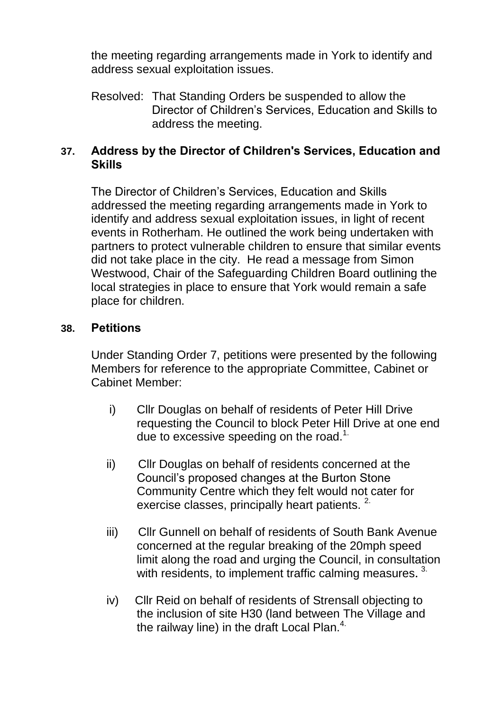the meeting regarding arrangements made in York to identify and address sexual exploitation issues.

Resolved: That Standing Orders be suspended to allow the Director of Children's Services, Education and Skills to address the meeting.

### **37. Address by the Director of Children's Services, Education and Skills**

The Director of Children's Services, Education and Skills addressed the meeting regarding arrangements made in York to identify and address sexual exploitation issues, in light of recent events in Rotherham. He outlined the work being undertaken with partners to protect vulnerable children to ensure that similar events did not take place in the city. He read a message from Simon Westwood, Chair of the Safeguarding Children Board outlining the local strategies in place to ensure that York would remain a safe place for children.

#### **38. Petitions**

Under Standing Order 7, petitions were presented by the following Members for reference to the appropriate Committee, Cabinet or Cabinet Member:

- i) Cllr Douglas on behalf of residents of Peter Hill Drive requesting the Council to block Peter Hill Drive at one end due to excessive speeding on the road.<sup>1.</sup>
- ii) Cllr Douglas on behalf of residents concerned at the Council's proposed changes at the Burton Stone Community Centre which they felt would not cater for exercise classes, principally heart patients.<sup>2.</sup>
- iii) Cllr Gunnell on behalf of residents of South Bank Avenue concerned at the regular breaking of the 20mph speed limit along the road and urging the Council, in consultation with residents, to implement traffic calming measures.<sup>3.</sup>
- iv) Cllr Reid on behalf of residents of Strensall objecting to the inclusion of site H30 (land between The Village and the railway line) in the draft Local Plan. $4$ .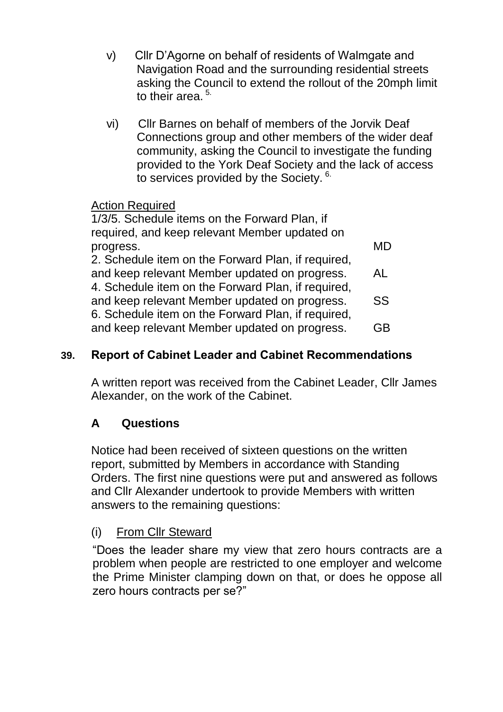- v) Cllr D'Agorne on behalf of residents of Walmgate and Navigation Road and the surrounding residential streets asking the Council to extend the rollout of the 20mph limit to their area.<sup>5.</sup>
- vi) Cllr Barnes on behalf of members of the Jorvik Deaf Connections group and other members of the wider deaf community, asking the Council to investigate the funding provided to the York Deaf Society and the lack of access to services provided by the Society. 6.

# Action Required

| 1/3/5. Schedule items on the Forward Plan, if      |    |
|----------------------------------------------------|----|
| required, and keep relevant Member updated on      |    |
| progress.                                          | MD |
| 2. Schedule item on the Forward Plan, if required, |    |
| and keep relevant Member updated on progress.      | AL |
| 4. Schedule item on the Forward Plan, if required, |    |
| and keep relevant Member updated on progress.      | SS |
| 6. Schedule item on the Forward Plan, if required, |    |
| and keep relevant Member updated on progress.      | GB |
|                                                    |    |

# **39. Report of Cabinet Leader and Cabinet Recommendations**

A written report was received from the Cabinet Leader, Cllr James Alexander, on the work of the Cabinet.

# **A Questions**

Notice had been received of sixteen questions on the written report, submitted by Members in accordance with Standing Orders. The first nine questions were put and answered as follows and Cllr Alexander undertook to provide Members with written answers to the remaining questions:

### (i) From Cllr Steward

"Does the leader share my view that zero hours contracts are a problem when people are restricted to one employer and welcome the Prime Minister clamping down on that, or does he oppose all zero hours contracts per se?"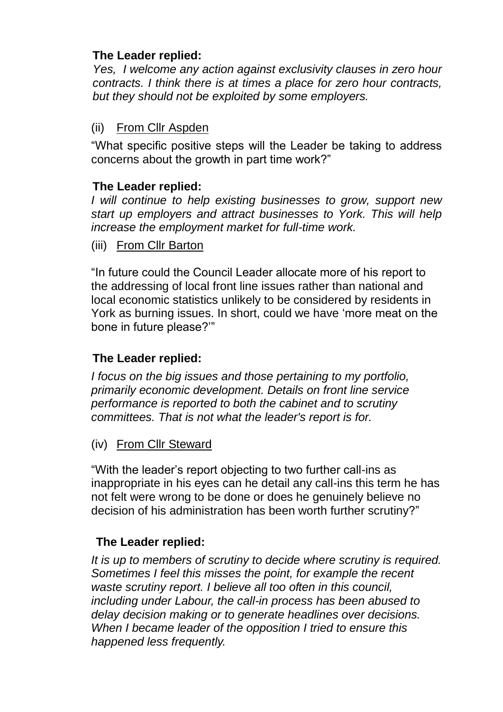## **The Leader replied:**

*Yes, I welcome any action against exclusivity clauses in zero hour contracts. I think there is at times a place for zero hour contracts, but they should not be exploited by some employers.* 

# (ii) From Cllr Aspden

"What specific positive steps will the Leader be taking to address concerns about the growth in part time work?"

### **The Leader replied:**

*I will continue to help existing businesses to grow, support new start up employers and attract businesses to York. This will help increase the employment market for full-time work.*

(iii) From Cllr Barton

"In future could the Council Leader allocate more of his report to the addressing of local front line issues rather than national and local economic statistics unlikely to be considered by residents in York as burning issues. In short, could we have 'more meat on the bone in future please?'"

# **The Leader replied:**

*I focus on the big issues and those pertaining to my portfolio, primarily economic development. Details on front line service performance is reported to both the cabinet and to scrutiny committees. That is not what the leader's report is for.*

### (iv) From Cllr Steward

"With the leader's report objecting to two further call-ins as inappropriate in his eyes can he detail any call-ins this term he has not felt were wrong to be done or does he genuinely believe no decision of his administration has been worth further scrutiny?"

# **The Leader replied:**

*It is up to members of scrutiny to decide where scrutiny is required. Sometimes I feel this misses the point, for example the recent waste scrutiny report. I believe all too often in this council, including under Labour, the call-in process has been abused to delay decision making or to generate headlines over decisions. When I became leader of the opposition I tried to ensure this happened less frequently.*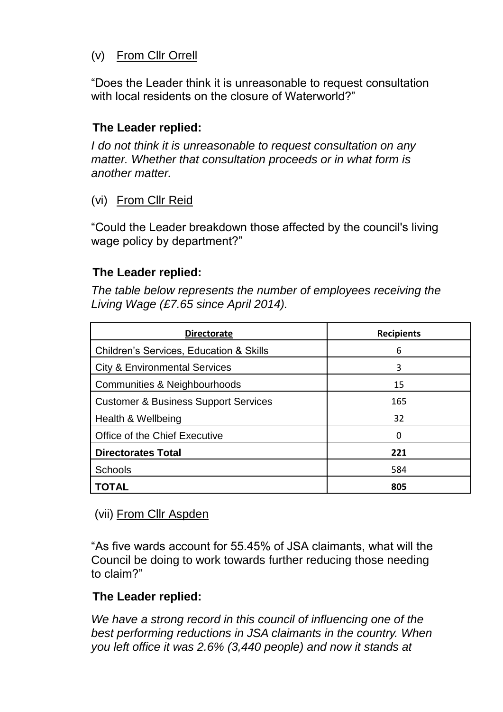# (v) From Cllr Orrell

"Does the Leader think it is unreasonable to request consultation with local residents on the closure of Waterworld?"

# **The Leader replied:**

*I do not think it is unreasonable to request consultation on any matter. Whether that consultation proceeds or in what form is another matter.*

# (vi) From Cllr Reid

"Could the Leader breakdown those affected by the council's living wage policy by department?"

### **The Leader replied:**

*The table below represents the number of employees receiving the Living Wage (£7.65 since April 2014).*

| <b>Directorate</b>                                 | <b>Recipients</b> |
|----------------------------------------------------|-------------------|
| <b>Children's Services, Education &amp; Skills</b> | 6                 |
| <b>City &amp; Environmental Services</b>           | 3                 |
| Communities & Neighbourhoods                       | 15                |
| <b>Customer &amp; Business Support Services</b>    | 165               |
| Health & Wellbeing                                 | 32                |
| Office of the Chief Executive                      | 0                 |
| <b>Directorates Total</b>                          | 221               |
| <b>Schools</b>                                     | 584               |
| TOTAL                                              | 805               |

# (vii) From Cllr Aspden

"As five wards account for 55.45% of JSA claimants, what will the Council be doing to work towards further reducing those needing to claim?"

# **The Leader replied:**

*We have a strong record in this council of influencing one of the best performing reductions in JSA claimants in the country. When you left office it was 2.6% (3,440 people) and now it stands at*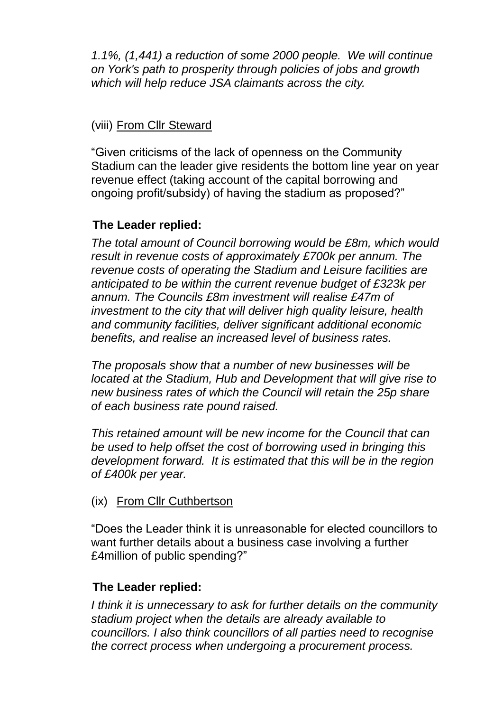*1.1%, (1,441) a reduction of some 2000 people. We will continue on York's path to prosperity through policies of jobs and growth which will help reduce JSA claimants across the city.*

# (viii) From Cllr Steward

"Given criticisms of the lack of openness on the Community Stadium can the leader give residents the bottom line year on year revenue effect (taking account of the capital borrowing and ongoing profit/subsidy) of having the stadium as proposed?"

# **The Leader replied:**

*The total amount of Council borrowing would be £8m, which would result in revenue costs of approximately £700k per annum. The revenue costs of operating the Stadium and Leisure facilities are anticipated to be within the current revenue budget of £323k per annum. The Councils £8m investment will realise £47m of investment to the city that will deliver high quality leisure, health and community facilities, deliver significant additional economic benefits, and realise an increased level of business rates.*

*The proposals show that a number of new businesses will be located at the Stadium, Hub and Development that will give rise to new business rates of which the Council will retain the 25p share of each business rate pound raised.*

*This retained amount will be new income for the Council that can be used to help offset the cost of borrowing used in bringing this development forward. It is estimated that this will be in the region of £400k per year.*

### (ix) From Cllr Cuthbertson

"Does the Leader think it is unreasonable for elected councillors to want further details about a business case involving a further £4million of public spending?"

### **The Leader replied:**

*I think it is unnecessary to ask for further details on the community stadium project when the details are already available to councillors. I also think councillors of all parties need to recognise the correct process when undergoing a procurement process.*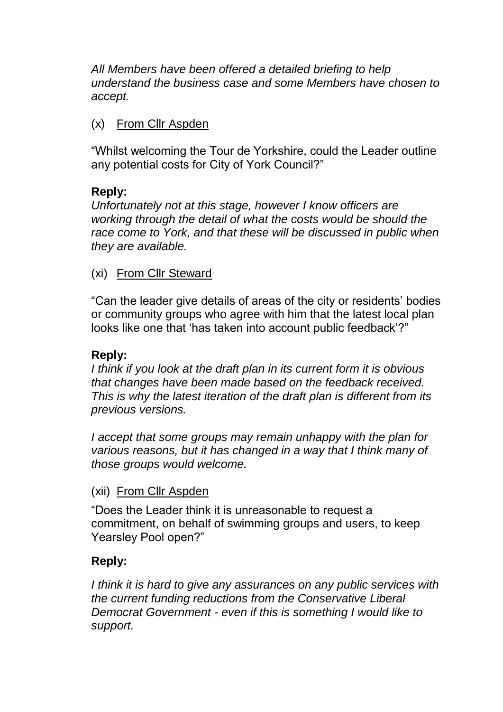*All Members have been offered a detailed briefing to help understand the business case and some Members have chosen to accept.*

### (x) From Cllr Aspden

"Whilst welcoming the Tour de Yorkshire, could the Leader outline any potential costs for City of York Council?"

### **Reply:**

*Unfortunately not at this stage, however I know officers are working through the detail of what the costs would be should the race come to York, and that these will be discussed in public when they are available.*

# (xi) From Cllr Steward

"Can the leader give details of areas of the city or residents' bodies or community groups who agree with him that the latest local plan looks like one that 'has taken into account public feedback'?"

### **Reply:**

*I think if you look at the draft plan in its current form it is obvious that changes have been made based on the feedback received. This is why the latest iteration of the draft plan is different from its previous versions.*

*I accept that some groups may remain unhappy with the plan for various reasons, but it has changed in a way that I think many of those groups would welcome.*

### (xii) From Cllr Aspden

"Does the Leader think it is unreasonable to request a commitment, on behalf of swimming groups and users, to keep Yearsley Pool open?"

### **Reply:**

*I think it is hard to give any assurances on any public services with the current funding reductions from the Conservative Liberal Democrat Government - even if this is something I would like to support.*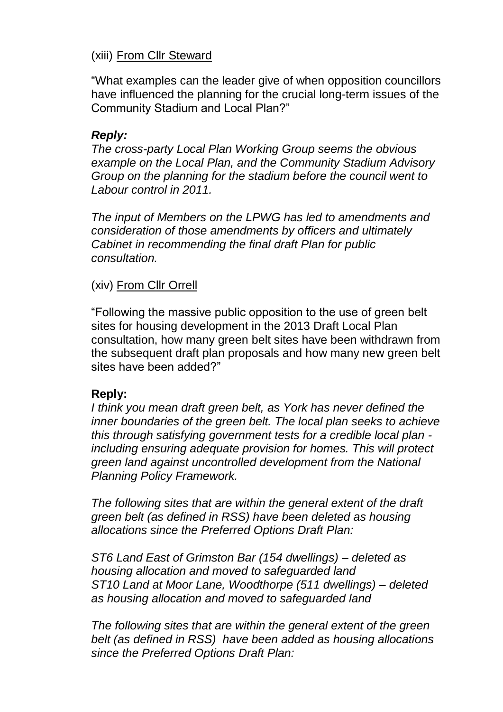### (xiii) From Cllr Steward

"What examples can the leader give of when opposition councillors have influenced the planning for the crucial long-term issues of the Community Stadium and Local Plan?"

#### *Reply:*

*The cross-party Local Plan Working Group seems the obvious example on the Local Plan, and the Community Stadium Advisory Group on the planning for the stadium before the council went to Labour control in 2011.*

*The input of Members on the LPWG has led to amendments and consideration of those amendments by officers and ultimately Cabinet in recommending the final draft Plan for public consultation.*

### (xiv) From Cllr Orrell

"Following the massive public opposition to the use of green belt sites for housing development in the 2013 Draft Local Plan consultation, how many green belt sites have been withdrawn from the subsequent draft plan proposals and how many new green belt sites have been added?"

#### **Reply:**

*I think you mean draft green belt, as York has never defined the inner boundaries of the green belt. The local plan seeks to achieve this through satisfying government tests for a credible local plan including ensuring adequate provision for homes. This will protect green land against uncontrolled development from the National Planning Policy Framework.* 

*The following sites that are within the general extent of the draft green belt (as defined in RSS) have been deleted as housing allocations since the Preferred Options Draft Plan:*

*ST6 Land East of Grimston Bar (154 dwellings) – deleted as housing allocation and moved to safeguarded land ST10 Land at Moor Lane, Woodthorpe (511 dwellings) – deleted as housing allocation and moved to safeguarded land*

*The following sites that are within the general extent of the green belt (as defined in RSS) have been added as housing allocations since the Preferred Options Draft Plan:*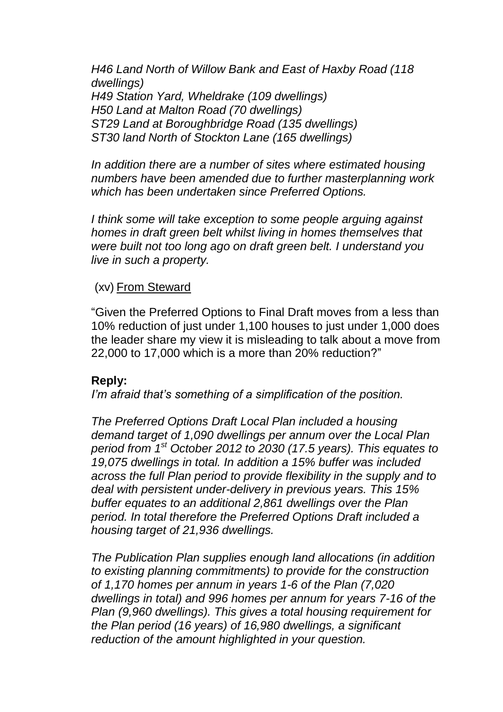*H46 Land North of Willow Bank and East of Haxby Road (118 dwellings) H49 Station Yard, Wheldrake (109 dwellings) H50 Land at Malton Road (70 dwellings) ST29 Land at Boroughbridge Road (135 dwellings) ST30 land North of Stockton Lane (165 dwellings)*

*In addition there are a number of sites where estimated housing numbers have been amended due to further masterplanning work which has been undertaken since Preferred Options.*

*I think some will take exception to some people arguing against homes in draft green belt whilst living in homes themselves that were built not too long ago on draft green belt. I understand you live in such a property.*

#### (xv) From Steward

"Given the Preferred Options to Final Draft moves from a less than 10% reduction of just under 1,100 houses to just under 1,000 does the leader share my view it is misleading to talk about a move from 22,000 to 17,000 which is a more than 20% reduction?"

#### **Reply:**

*I'm afraid that's something of a simplification of the position.* 

*The Preferred Options Draft Local Plan included a housing demand target of 1,090 dwellings per annum over the Local Plan period from 1st October 2012 to 2030 (17.5 years). This equates to 19,075 dwellings in total. In addition a 15% buffer was included across the full Plan period to provide flexibility in the supply and to deal with persistent under-delivery in previous years. This 15% buffer equates to an additional 2,861 dwellings over the Plan period. In total therefore the Preferred Options Draft included a housing target of 21,936 dwellings.*

*The Publication Plan supplies enough land allocations (in addition to existing planning commitments) to provide for the construction of 1,170 homes per annum in years 1-6 of the Plan (7,020 dwellings in total) and 996 homes per annum for years 7-16 of the Plan (9,960 dwellings). This gives a total housing requirement for the Plan period (16 years) of 16,980 dwellings, a significant reduction of the amount highlighted in your question.*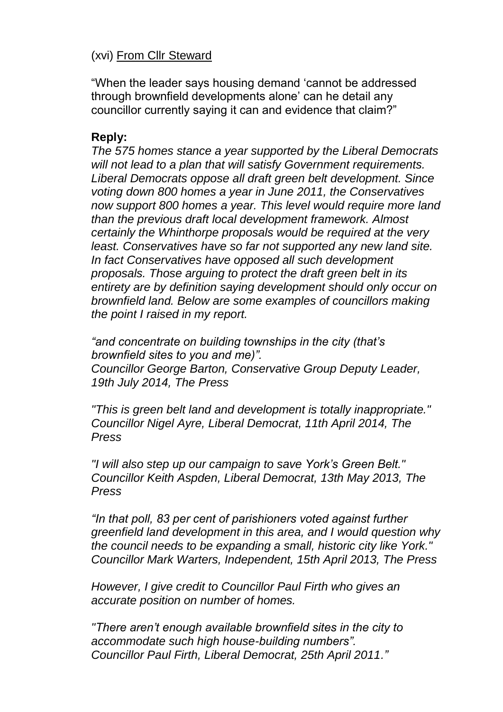### (xvi) From Cllr Steward

"When the leader says housing demand 'cannot be addressed through brownfield developments alone' can he detail any councillor currently saying it can and evidence that claim?"

#### **Reply:**

*The 575 homes stance a year supported by the Liberal Democrats will not lead to a plan that will satisfy Government requirements. Liberal Democrats oppose all draft green belt development. Since voting down 800 homes a year in June 2011, the Conservatives now support 800 homes a year. This level would require more land than the previous draft local development framework. Almost certainly the Whinthorpe proposals would be required at the very least. Conservatives have so far not supported any new land site. In fact Conservatives have opposed all such development proposals. Those arguing to protect the draft green belt in its entirety are by definition saying development should only occur on brownfield land. Below are some examples of councillors making the point I raised in my report.*

*"and concentrate on building townships in the city (that's brownfield sites to you and me)". Councillor George Barton, Conservative Group Deputy Leader, 19th July 2014, The Press*

*"This is green belt land and development is totally inappropriate." Councillor Nigel Ayre, Liberal Democrat, 11th April 2014, The Press*

*"I will also step up our campaign to save York's Green Belt." Councillor Keith Aspden, Liberal Democrat, 13th May 2013, The Press*

*"In that poll, 83 per cent of parishioners voted against further greenfield land development in this area, and I would question why the council needs to be expanding a small, historic city like York." Councillor Mark Warters, Independent, 15th April 2013, The Press*

*However, I give credit to Councillor Paul Firth who gives an accurate position on number of homes.*

*"There aren't enough available brownfield sites in the city to accommodate such high house-building numbers". Councillor Paul Firth, Liberal Democrat, 25th April 2011."*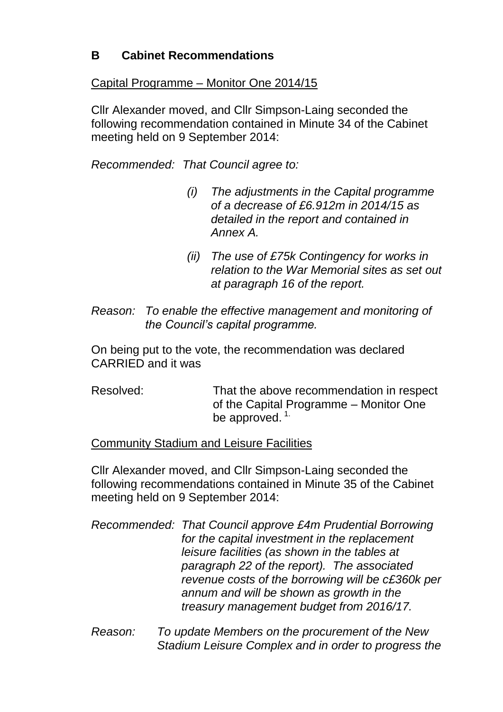# **B Cabinet Recommendations**

#### Capital Programme – Monitor One 2014/15

Cllr Alexander moved, and Cllr Simpson-Laing seconded the following recommendation contained in Minute 34 of the Cabinet meeting held on 9 September 2014:

*Recommended: That Council agree to:*

- *(i) The adjustments in the Capital programme of a decrease of £6.912m in 2014/15 as detailed in the report and contained in Annex A.*
- *(ii) The use of £75k Contingency for works in relation to the War Memorial sites as set out at paragraph 16 of the report.*
- *Reason: To enable the effective management and monitoring of the Council's capital programme.*

On being put to the vote, the recommendation was declared CARRIED and it was

Resolved: That the above recommendation in respect of the Capital Programme – Monitor One be approved.  $1$ .

### Community Stadium and Leisure Facilities

Cllr Alexander moved, and Cllr Simpson-Laing seconded the following recommendations contained in Minute 35 of the Cabinet meeting held on 9 September 2014:

- *Recommended: That Council approve £4m Prudential Borrowing for the capital investment in the replacement leisure facilities (as shown in the tables at paragraph 22 of the report). The associated revenue costs of the borrowing will be c£360k per annum and will be shown as growth in the treasury management budget from 2016/17.*
- *Reason: To update Members on the procurement of the New Stadium Leisure Complex and in order to progress the*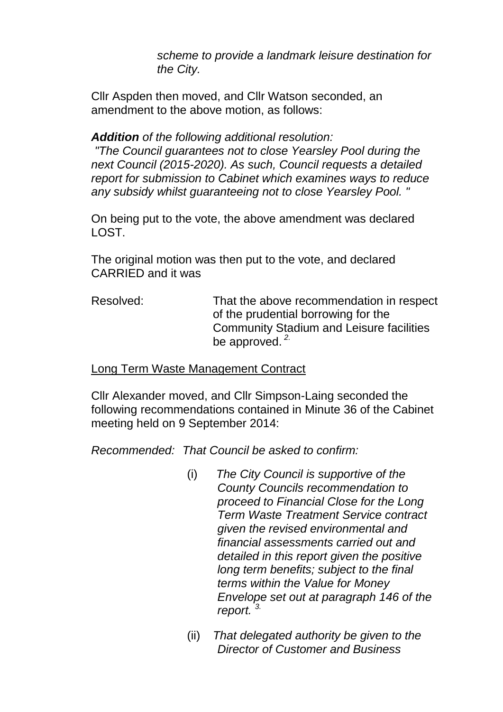*scheme to provide a landmark leisure destination for the City.*

Cllr Aspden then moved, and Cllr Watson seconded, an amendment to the above motion, as follows:

#### *Addition of the following additional resolution:*

*"The Council guarantees not to close Yearsley Pool during the next Council (2015-2020). As such, Council requests a detailed report for submission to Cabinet which examines ways to reduce any subsidy whilst guaranteeing not to close Yearsley Pool. "*

On being put to the vote, the above amendment was declared LOST.

The original motion was then put to the vote, and declared CARRIED and it was

Resolved: That the above recommendation in respect of the prudential borrowing for the Community Stadium and Leisure facilities be approved. *2.*

#### Long Term Waste Management Contract

Cllr Alexander moved, and Cllr Simpson-Laing seconded the following recommendations contained in Minute 36 of the Cabinet meeting held on 9 September 2014:

*Recommended: That Council be asked to confirm:*

- (i) *The City Council is supportive of the County Councils recommendation to proceed to Financial Close for the Long Term Waste Treatment Service contract given the revised environmental and financial assessments carried out and detailed in this report given the positive long term benefits; subject to the final terms within the Value for Money Envelope set out at paragraph 146 of the report. 3.*
- (ii) *That delegated authority be given to the Director of Customer and Business*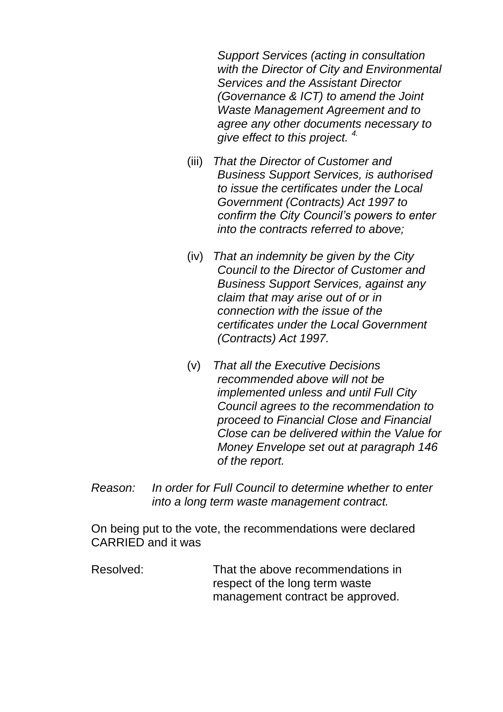*Support Services (acting in consultation with the Director of City and Environmental Services and the Assistant Director (Governance & ICT) to amend the Joint Waste Management Agreement and to agree any other documents necessary to give effect to this project. 4.*

- (iii) *That the Director of Customer and Business Support Services, is authorised to issue the certificates under the Local Government (Contracts) Act 1997 to confirm the City Council's powers to enter into the contracts referred to above;*
- (iv) *That an indemnity be given by the City Council to the Director of Customer and Business Support Services, against any claim that may arise out of or in connection with the issue of the certificates under the Local Government (Contracts) Act 1997.*
- (v) *That all the Executive Decisions recommended above will not be implemented unless and until Full City Council agrees to the recommendation to proceed to Financial Close and Financial Close can be delivered within the Value for Money Envelope set out at paragraph 146 of the report.*
- *Reason: In order for Full Council to determine whether to enter into a long term waste management contract.*

On being put to the vote, the recommendations were declared CARRIED and it was

Resolved: That the above recommendations in respect of the long term waste management contract be approved.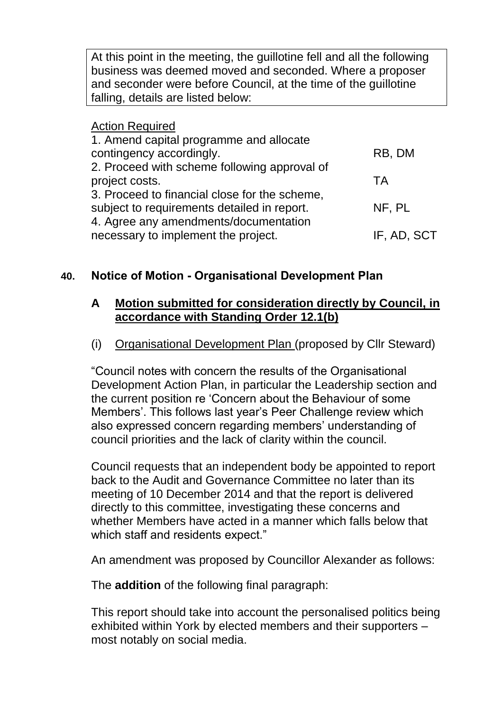At this point in the meeting, the guillotine fell and all the following business was deemed moved and seconded. Where a proposer and seconder were before Council, at the time of the guillotine falling, details are listed below:

#### Action Required 1. Amend capital programme and allocate contingency accordingly. 2. Proceed with scheme following approval of project costs. 3. Proceed to financial close for the scheme, subject to requirements detailed in report. 4. Agree any amendments/documentation necessary to implement the project. RB, DM TA NF, PL IF, AD, SCT

### **40. Notice of Motion - Organisational Development Plan**

#### **A Motion submitted for consideration directly by Council, in accordance with Standing Order 12.1(b)**

#### (i) Organisational Development Plan (proposed by Cllr Steward)

"Council notes with concern the results of the Organisational Development Action Plan, in particular the Leadership section and the current position re 'Concern about the Behaviour of some Members'. This follows last year's Peer Challenge review which also expressed concern regarding members' understanding of council priorities and the lack of clarity within the council.

Council requests that an independent body be appointed to report back to the Audit and Governance Committee no later than its meeting of 10 December 2014 and that the report is delivered directly to this committee, investigating these concerns and whether Members have acted in a manner which falls below that which staff and residents expect."

An amendment was proposed by Councillor Alexander as follows:

The **addition** of the following final paragraph:

This report should take into account the personalised politics being exhibited within York by elected members and their supporters – most notably on social media.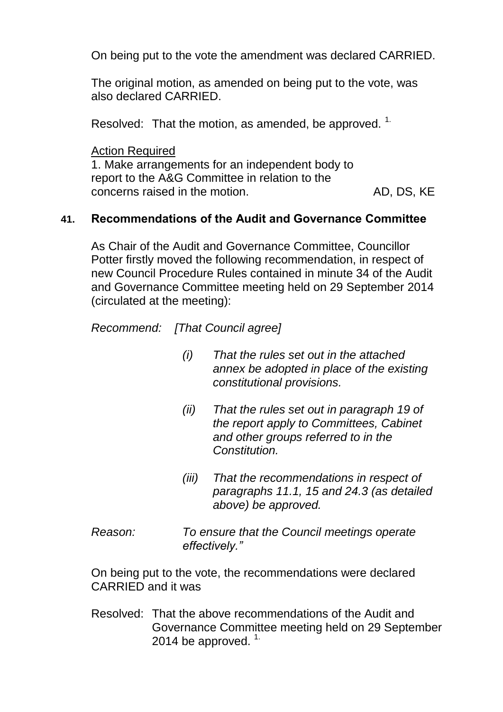On being put to the vote the amendment was declared CARRIED.

The original motion, as amended on being put to the vote, was also declared CARRIED.

Resolved: That the motion, as amended, be approved. <sup>1.</sup>

Action Required 1. Make arrangements for an independent body to report to the A&G Committee in relation to the concerns raised in the motion. The motion of the May AD, DS, KE

### **41. Recommendations of the Audit and Governance Committee**

As Chair of the Audit and Governance Committee, Councillor Potter firstly moved the following recommendation, in respect of new Council Procedure Rules contained in minute 34 of the Audit and Governance Committee meeting held on 29 September 2014 (circulated at the meeting):

*Recommend: [That Council agree]*

- *(i) That the rules set out in the attached annex be adopted in place of the existing constitutional provisions.*
- *(ii) That the rules set out in paragraph 19 of the report apply to Committees, Cabinet and other groups referred to in the Constitution.*
- *(iii) That the recommendations in respect of paragraphs 11.1, 15 and 24.3 (as detailed above) be approved.*
- *Reason: To ensure that the Council meetings operate effectively."*

On being put to the vote, the recommendations were declared CARRIED and it was

Resolved: That the above recommendations of the Audit and Governance Committee meeting held on 29 September 2014 be approved.<sup>1.</sup>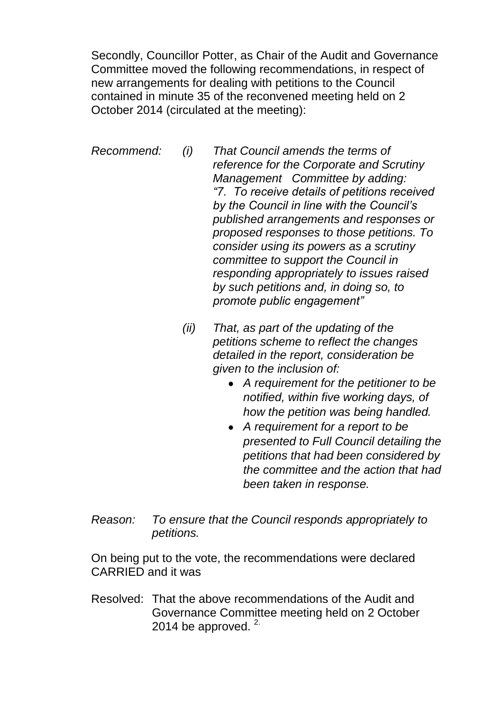Secondly, Councillor Potter, as Chair of the Audit and Governance Committee moved the following recommendations, in respect of new arrangements for dealing with petitions to the Council contained in minute 35 of the reconvened meeting held on 2 October 2014 (circulated at the meeting):

*Recommend: (i) That Council amends the terms of reference for the Corporate and Scrutiny Management Committee by adding: "7. To receive details of petitions received by the Council in line with the Council's published arrangements and responses or proposed responses to those petitions. To consider using its powers as a scrutiny committee to support the Council in responding appropriately to issues raised by such petitions and, in doing so, to promote public engagement"*

- *(ii) That, as part of the updating of the petitions scheme to reflect the changes detailed in the report, consideration be given to the inclusion of:*
	- *A requirement for the petitioner to be notified, within five working days, of how the petition was being handled.*
	- *A requirement for a report to be presented to Full Council detailing the petitions that had been considered by the committee and the action that had been taken in response.*
- *Reason: To ensure that the Council responds appropriately to petitions.*

On being put to the vote, the recommendations were declared CARRIED and it was

Resolved: That the above recommendations of the Audit and Governance Committee meeting held on 2 October 2014 be approved.  $2^{\circ}$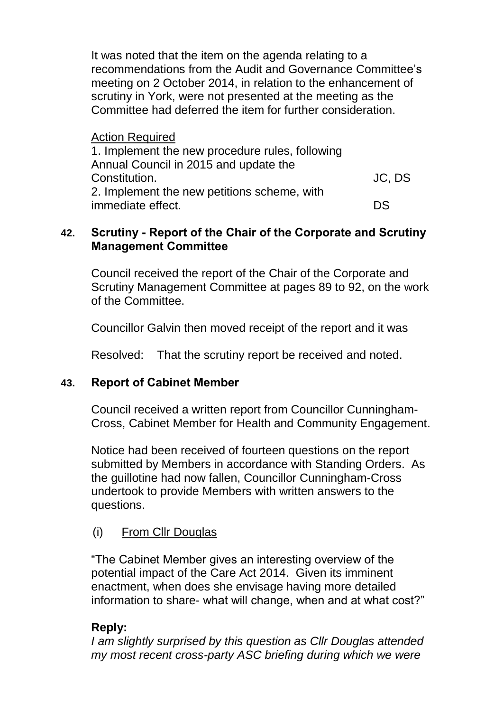It was noted that the item on the agenda relating to a recommendations from the Audit and Governance Committee's meeting on 2 October 2014, in relation to the enhancement of scrutiny in York, were not presented at the meeting as the Committee had deferred the item for further consideration.

Action Required

| 1. Implement the new procedure rules, following |        |
|-------------------------------------------------|--------|
| Annual Council in 2015 and update the           |        |
| Constitution.                                   | JC, DS |
| 2. Implement the new petitions scheme, with     |        |
| immediate effect.                               | DS     |

### **42. Scrutiny - Report of the Chair of the Corporate and Scrutiny Management Committee**

Council received the report of the Chair of the Corporate and Scrutiny Management Committee at pages 89 to 92, on the work of the Committee.

Councillor Galvin then moved receipt of the report and it was

Resolved: That the scrutiny report be received and noted.

### **43. Report of Cabinet Member**

Council received a written report from Councillor Cunningham-Cross, Cabinet Member for Health and Community Engagement.

Notice had been received of fourteen questions on the report submitted by Members in accordance with Standing Orders. As the guillotine had now fallen, Councillor Cunningham-Cross undertook to provide Members with written answers to the questions.

# (i) From Cllr Douglas

"The Cabinet Member gives an interesting overview of the potential impact of the Care Act 2014. Given its imminent enactment, when does she envisage having more detailed information to share- what will change, when and at what cost?"

### **Reply:**

*I am slightly surprised by this question as Cllr Douglas attended my most recent cross-party ASC briefing during which we were*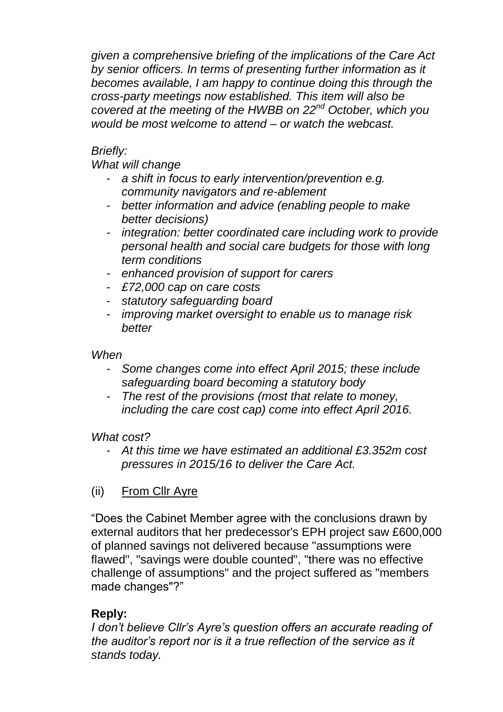*given a comprehensive briefing of the implications of the Care Act by senior officers. In terms of presenting further information as it becomes available, I am happy to continue doing this through the cross-party meetings now established. This item will also be covered at the meeting of the HWBB on 22nd October, which you would be most welcome to attend – or watch the webcast.*

### *Briefly:*

### *What will change*

- a shift in focus to early intervention/prevention e.g. *community navigators and re-ablement*
- *better information and advice (enabling people to make better decisions)*
- *integration: better coordinated care including work to provide personal health and social care budgets for those with long term conditions*
- *enhanced provision of support for carers*
- *£72,000 cap on care costs*
- *statutory safeguarding board*
- *improving market oversight to enable us to manage risk better*

*When*

- *Some changes come into effect April 2015; these include safeguarding board becoming a statutory body*
- *The rest of the provisions (most that relate to money, including the care cost cap) come into effect April 2016.*

*What cost?*

- *At this time we have estimated an additional £3.352m cost pressures in 2015/16 to deliver the Care Act.*

# (ii) From Cllr Ayre

"Does the Cabinet Member agree with the conclusions drawn by external auditors that her predecessor's EPH project saw £600,000 of planned savings not delivered because "assumptions were flawed", "savings were double counted", "there was no effective challenge of assumptions" and the project suffered as "members made changes"?"

# **Reply:**

*I don't believe Cllr's Ayre's question offers an accurate reading of the auditor's report nor is it a true reflection of the service as it stands today.*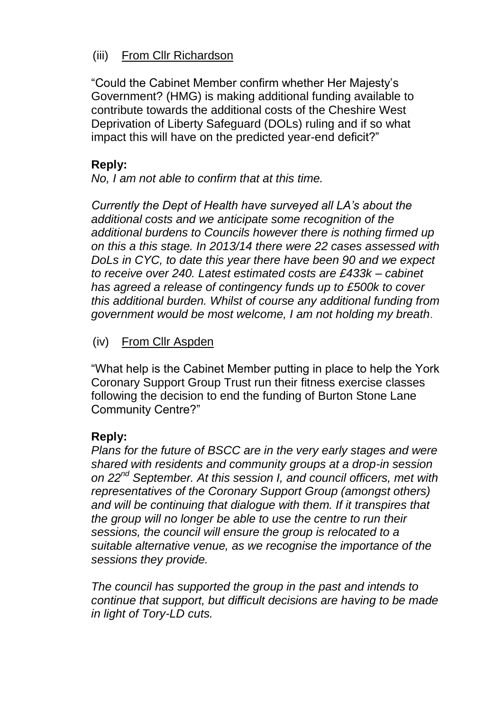### (iii) From Cllr Richardson

"Could the Cabinet Member confirm whether Her Majesty's Government? (HMG) is making additional funding available to contribute towards the additional costs of the Cheshire West Deprivation of Liberty Safeguard (DOLs) ruling and if so what impact this will have on the predicted year-end deficit?"

# **Reply:**

*No, I am not able to confirm that at this time.*

*Currently the Dept of Health have surveyed all LA's about the additional costs and we anticipate some recognition of the additional burdens to Councils however there is nothing firmed up on this a this stage. In 2013/14 there were 22 cases assessed with DoLs in CYC, to date this year there have been 90 and we expect to receive over 240. Latest estimated costs are £433k – cabinet has agreed a release of contingency funds up to £500k to cover this additional burden. Whilst of course any additional funding from government would be most welcome, I am not holding my breath*.

### (iv) From Cllr Aspden

"What help is the Cabinet Member putting in place to help the York Coronary Support Group Trust run their fitness exercise classes following the decision to end the funding of Burton Stone Lane Community Centre?"

### **Reply:**

*Plans for the future of BSCC are in the very early stages and were shared with residents and community groups at a drop-in session on 22nd September. At this session I, and council officers, met with representatives of the Coronary Support Group (amongst others) and will be continuing that dialogue with them. If it transpires that the group will no longer be able to use the centre to run their sessions, the council will ensure the group is relocated to a suitable alternative venue, as we recognise the importance of the sessions they provide.* 

*The council has supported the group in the past and intends to continue that support, but difficult decisions are having to be made in light of Tory-LD cuts.*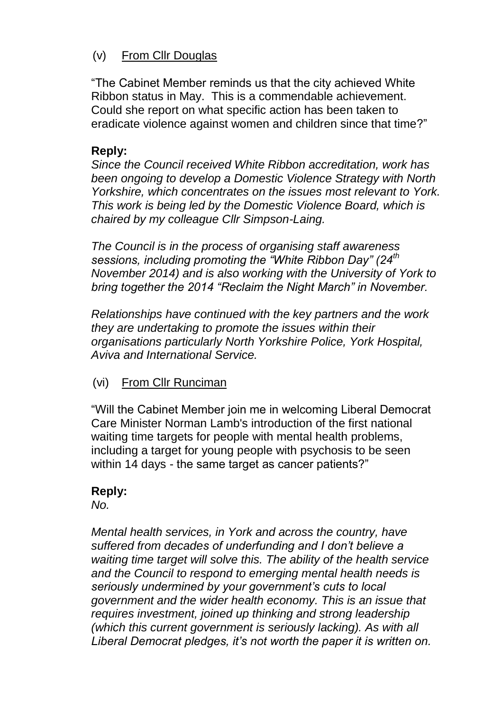# (v) From Cllr Douglas

"The Cabinet Member reminds us that the city achieved White Ribbon status in May. This is a commendable achievement. Could she report on what specific action has been taken to eradicate violence against women and children since that time?"

# **Reply:**

*Since the Council received White Ribbon accreditation, work has been ongoing to develop a Domestic Violence Strategy with North Yorkshire, which concentrates on the issues most relevant to York. This work is being led by the Domestic Violence Board, which is chaired by my colleague Cllr Simpson-Laing.*

*The Council is in the process of organising staff awareness sessions, including promoting the "White Ribbon Day" (24th November 2014) and is also working with the University of York to bring together the 2014 "Reclaim the Night March" in November.*

*Relationships have continued with the key partners and the work they are undertaking to promote the issues within their organisations particularly North Yorkshire Police, York Hospital, Aviva and International Service.* 

(vi) From Cllr Runciman

"Will the Cabinet Member join me in welcoming Liberal Democrat Care Minister Norman Lamb's introduction of the first national waiting time targets for people with mental health problems, including a target for young people with psychosis to be seen within 14 days - the same target as cancer patients?"

# **Reply:**

*No.*

*Mental health services, in York and across the country, have suffered from decades of underfunding and I don't believe a waiting time target will solve this. The ability of the health service and the Council to respond to emerging mental health needs is seriously undermined by your government's cuts to local government and the wider health economy. This is an issue that requires investment, joined up thinking and strong leadership (which this current government is seriously lacking). As with all Liberal Democrat pledges, it's not worth the paper it is written on.*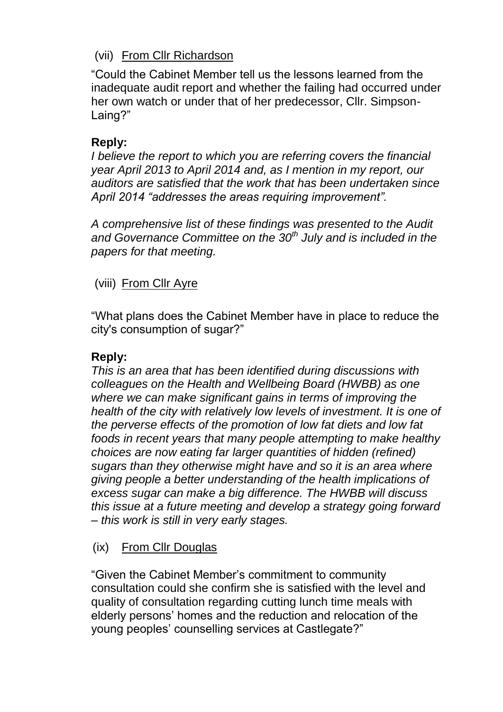# (vii) From Cllr Richardson

"Could the Cabinet Member tell us the lessons learned from the inadequate audit report and whether the failing had occurred under her own watch or under that of her predecessor, Cllr. Simpson-Laing?"

### **Reply:**

*I believe the report to which you are referring covers the financial year April 2013 to April 2014 and, as I mention in my report, our auditors are satisfied that the work that has been undertaken since April 2014 "addresses the areas requiring improvement".*

*A comprehensive list of these findings was presented to the Audit and Governance Committee on the 30th July and is included in the papers for that meeting.*

### (viii) From Cllr Ayre

"What plans does the Cabinet Member have in place to reduce the city's consumption of sugar?"

### **Reply:**

*This is an area that has been identified during discussions with colleagues on the Health and Wellbeing Board (HWBB) as one where we can make significant gains in terms of improving the health of the city with relatively low levels of investment. It is one of the perverse effects of the promotion of low fat diets and low fat foods in recent years that many people attempting to make healthy choices are now eating far larger quantities of hidden (refined) sugars than they otherwise might have and so it is an area where giving people a better understanding of the health implications of excess sugar can make a big difference. The HWBB will discuss this issue at a future meeting and develop a strategy going forward – this work is still in very early stages.* 

### (ix) From Cllr Douglas

"Given the Cabinet Member's commitment to community consultation could she confirm she is satisfied with the level and quality of consultation regarding cutting lunch time meals with elderly persons' homes and the reduction and relocation of the young peoples' counselling services at Castlegate?"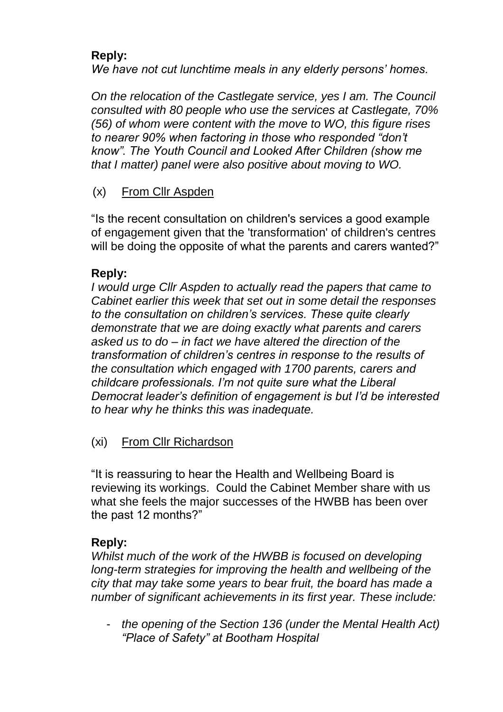# **Reply:**

*We have not cut lunchtime meals in any elderly persons' homes.*

*On the relocation of the Castlegate service, yes I am. The Council consulted with 80 people who use the services at Castlegate, 70% (56) of whom were content with the move to WO, this figure rises to nearer 90% when factoring in those who responded "don't know". The Youth Council and Looked After Children (show me that I matter) panel were also positive about moving to WO.*

### (x) From Cllr Aspden

"Is the recent consultation on children's services a good example of engagement given that the 'transformation' of children's centres will be doing the opposite of what the parents and carers wanted?"

### **Reply:**

*I would urge Cllr Aspden to actually read the papers that came to Cabinet earlier this week that set out in some detail the responses to the consultation on children's services. These quite clearly demonstrate that we are doing exactly what parents and carers asked us to do – in fact we have altered the direction of the transformation of children's centres in response to the results of the consultation which engaged with 1700 parents, carers and childcare professionals. I'm not quite sure what the Liberal Democrat leader's definition of engagement is but I'd be interested to hear why he thinks this was inadequate.*

# (xi) From Cllr Richardson

"It is reassuring to hear the Health and Wellbeing Board is reviewing its workings. Could the Cabinet Member share with us what she feels the major successes of the HWBB has been over the past 12 months?"

# **Reply:**

*Whilst much of the work of the HWBB is focused on developing long-term strategies for improving the health and wellbeing of the city that may take some years to bear fruit, the board has made a number of significant achievements in its first year. These include:*

- *the opening of the Section 136 (under the Mental Health Act) "Place of Safety" at Bootham Hospital*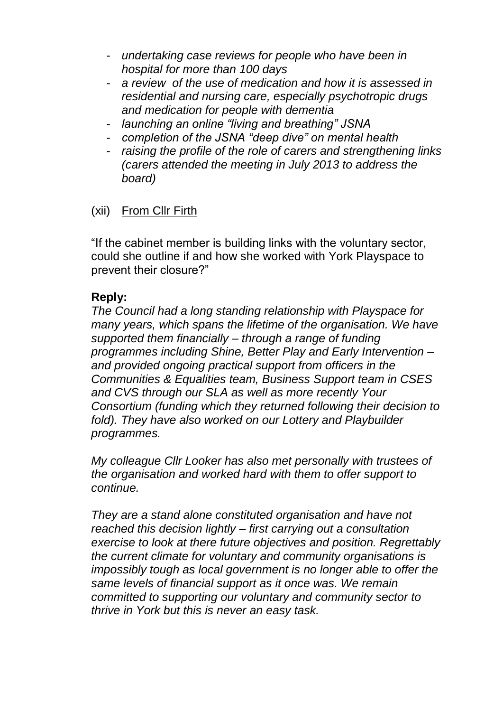- *undertaking case reviews for people who have been in hospital for more than 100 days*
- a review of the use of medication and how it is assessed in *residential and nursing care, especially psychotropic drugs and medication for people with dementia*
- *launching an online "living and breathing" JSNA*
- *completion of the JSNA "deep dive" on mental health*
- *raising the profile of the role of carers and strengthening links (carers attended the meeting in July 2013 to address the board)*

# (xii) From Cllr Firth

"If the cabinet member is building links with the voluntary sector, could she outline if and how she worked with York Playspace to prevent their closure?"

### **Reply:**

*The Council had a long standing relationship with Playspace for many years, which spans the lifetime of the organisation. We have supported them financially – through a range of funding programmes including Shine, Better Play and Early Intervention – and provided ongoing practical support from officers in the Communities & Equalities team, Business Support team in CSES and CVS through our SLA as well as more recently Your Consortium (funding which they returned following their decision to fold). They have also worked on our Lottery and Playbuilder programmes.*

*My colleague Cllr Looker has also met personally with trustees of the organisation and worked hard with them to offer support to continue.* 

*They are a stand alone constituted organisation and have not reached this decision lightly – first carrying out a consultation exercise to look at there future objectives and position. Regrettably the current climate for voluntary and community organisations is impossibly tough as local government is no longer able to offer the same levels of financial support as it once was. We remain committed to supporting our voluntary and community sector to thrive in York but this is never an easy task.*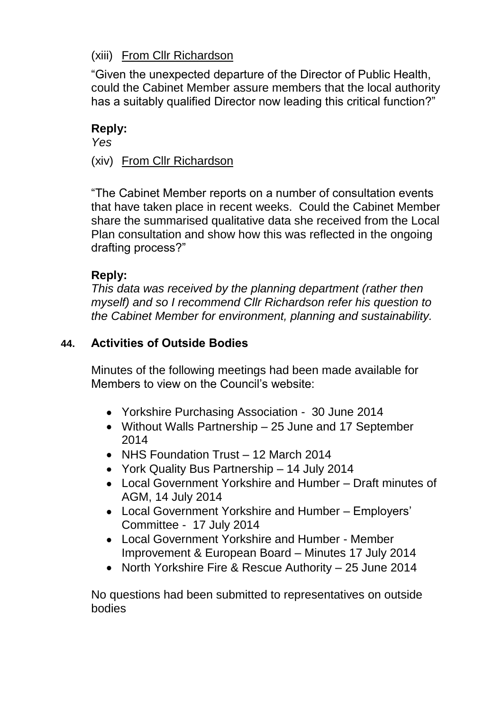# (xiii) From Cllr Richardson

"Given the unexpected departure of the Director of Public Health, could the Cabinet Member assure members that the local authority has a suitably qualified Director now leading this critical function?"

#### **Reply:**

*Yes*

(xiv) From Cllr Richardson

"The Cabinet Member reports on a number of consultation events that have taken place in recent weeks. Could the Cabinet Member share the summarised qualitative data she received from the Local Plan consultation and show how this was reflected in the ongoing drafting process?"

### **Reply:**

*This data was received by the planning department (rather then myself) and so I recommend Cllr Richardson refer his question to the Cabinet Member for environment, planning and sustainability.*

### **44. Activities of Outside Bodies**

Minutes of the following meetings had been made available for Members to view on the Council's website:

- Yorkshire Purchasing Association 30 June 2014
- Without Walls Partnership 25 June and 17 September 2014
- NHS Foundation Trust 12 March 2014
- York Quality Bus Partnership 14 July 2014
- Local Government Yorkshire and Humber Draft minutes of AGM, 14 July 2014
- Local Government Yorkshire and Humber Employers' Committee - 17 July 2014
- Local Government Yorkshire and Humber Member Improvement & European Board – Minutes 17 July 2014
- North Yorkshire Fire & Rescue Authority 25 June 2014

No questions had been submitted to representatives on outside bodies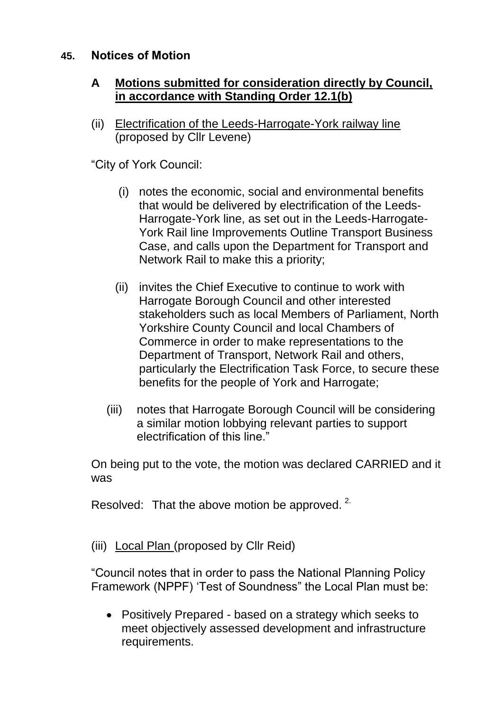### **45. Notices of Motion**

### **A Motions submitted for consideration directly by Council, in accordance with Standing Order 12.1(b)**

(ii) Electrification of the Leeds-Harrogate-York railway line (proposed by Cllr Levene)

"City of York Council:

- (i) notes the economic, social and environmental benefits that would be delivered by electrification of the Leeds-Harrogate-York line, as set out in the Leeds-Harrogate-York Rail line Improvements Outline Transport Business Case, and calls upon the Department for Transport and Network Rail to make this a priority;
- (ii) invites the Chief Executive to continue to work with Harrogate Borough Council and other interested stakeholders such as local Members of Parliament, North Yorkshire County Council and local Chambers of Commerce in order to make representations to the Department of Transport, Network Rail and others, particularly the Electrification Task Force, to secure these benefits for the people of York and Harrogate;
- (iii) notes that Harrogate Borough Council will be considering a similar motion lobbying relevant parties to support electrification of this line."

On being put to the vote, the motion was declared CARRIED and it was

Resolved: That the above motion be approved.  $2^{\circ}$ 

(iii) Local Plan (proposed by Cllr Reid)

"Council notes that in order to pass the National Planning Policy Framework (NPPF) 'Test of Soundness" the Local Plan must be:

Positively Prepared - based on a strategy which seeks to meet objectively assessed development and infrastructure requirements.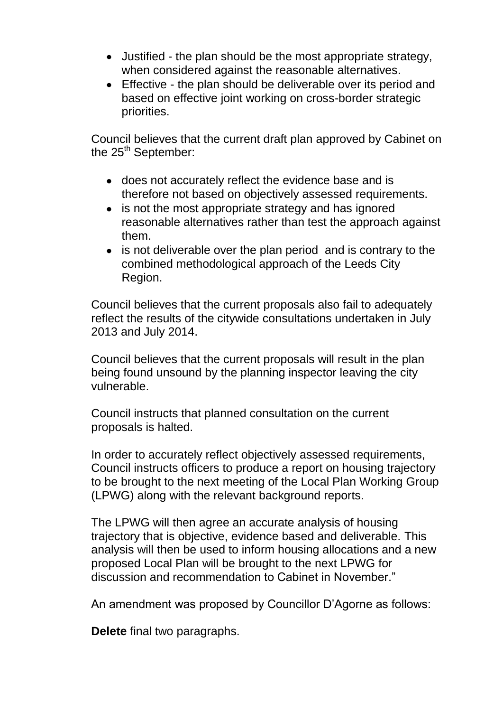- Justified the plan should be the most appropriate strategy, when considered against the reasonable alternatives.
- Effective the plan should be deliverable over its period and based on effective joint working on cross-border strategic priorities.

Council believes that the current draft plan approved by Cabinet on the  $25<sup>th</sup>$  September:

- does not accurately reflect the evidence base and is therefore not based on objectively assessed requirements.
- is not the most appropriate strategy and has ignored reasonable alternatives rather than test the approach against them.
- is not deliverable over the plan period and is contrary to the combined methodological approach of the Leeds City Region.

Council believes that the current proposals also fail to adequately reflect the results of the citywide consultations undertaken in July 2013 and July 2014.

Council believes that the current proposals will result in the plan being found unsound by the planning inspector leaving the city vulnerable.

Council instructs that planned consultation on the current proposals is halted.

In order to accurately reflect objectively assessed requirements, Council instructs officers to produce a report on housing trajectory to be brought to the next meeting of the Local Plan Working Group (LPWG) along with the relevant background reports.

The LPWG will then agree an accurate analysis of housing trajectory that is objective, evidence based and deliverable. This analysis will then be used to inform housing allocations and a new proposed Local Plan will be brought to the next LPWG for discussion and recommendation to Cabinet in November."

An amendment was proposed by Councillor D'Agorne as follows:

**Delete** final two paragraphs.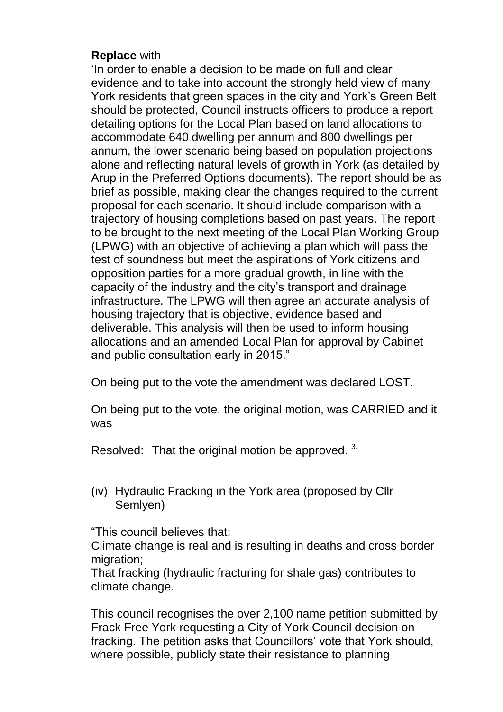#### **Replace** with

'In order to enable a decision to be made on full and clear evidence and to take into account the strongly held view of many York residents that green spaces in the city and York's Green Belt should be protected, Council instructs officers to produce a report detailing options for the Local Plan based on land allocations to accommodate 640 dwelling per annum and 800 dwellings per annum, the lower scenario being based on population projections alone and reflecting natural levels of growth in York (as detailed by Arup in the Preferred Options documents). The report should be as brief as possible, making clear the changes required to the current proposal for each scenario. It should include comparison with a trajectory of housing completions based on past years. The report to be brought to the next meeting of the Local Plan Working Group (LPWG) with an objective of achieving a plan which will pass the test of soundness but meet the aspirations of York citizens and opposition parties for a more gradual growth, in line with the capacity of the industry and the city's transport and drainage infrastructure. The LPWG will then agree an accurate analysis of housing trajectory that is objective, evidence based and deliverable. This analysis will then be used to inform housing allocations and an amended Local Plan for approval by Cabinet and public consultation early in 2015."

On being put to the vote the amendment was declared LOST.

On being put to the vote, the original motion, was CARRIED and it was

Resolved: That the original motion be approved.<sup>3.</sup>

(iv) Hydraulic Fracking in the York area (proposed by Cllr Semlyen)

"This council believes that:

Climate change is real and is resulting in deaths and cross border migration:

That fracking (hydraulic fracturing for shale gas) contributes to climate change.

This council recognises the over 2,100 name petition submitted by Frack Free York requesting a City of York Council decision on fracking. The petition asks that Councillors' vote that York should, where possible, publicly state their resistance to planning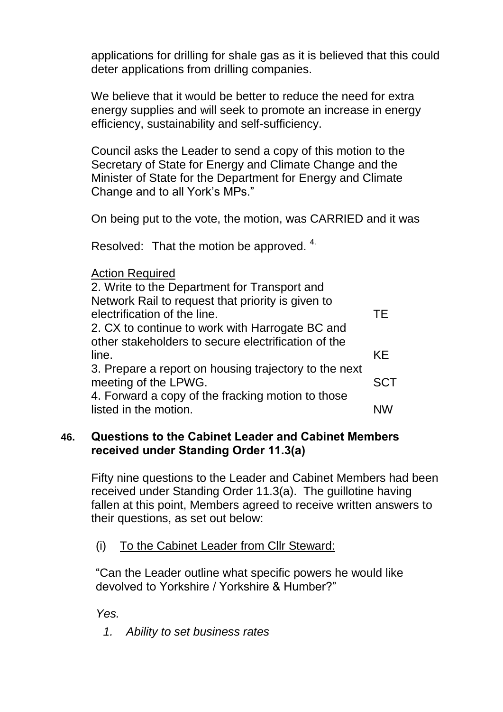applications for drilling for shale gas as it is believed that this could deter applications from drilling companies.

We believe that it would be better to reduce the need for extra energy supplies and will seek to promote an increase in energy efficiency, sustainability and self-sufficiency.

Council asks the Leader to send a copy of this motion to the Secretary of State for Energy and Climate Change and the Minister of State for the Department for Energy and Climate Change and to all York's MPs."

On being put to the vote, the motion, was CARRIED and it was

Resolved: That the motion be approved. 4.

#### Action Required

| 2. Write to the Department for Transport and          |            |
|-------------------------------------------------------|------------|
| Network Rail to request that priority is given to     |            |
| electrification of the line.                          | ТE         |
| 2. CX to continue to work with Harrogate BC and       |            |
| other stakeholders to secure electrification of the   |            |
| line.                                                 | KE         |
| 3. Prepare a report on housing trajectory to the next |            |
| meeting of the LPWG.                                  | <b>SCT</b> |
| 4. Forward a copy of the fracking motion to those     |            |
| listed in the motion.                                 | <b>NW</b>  |
|                                                       |            |

### **46. Questions to the Cabinet Leader and Cabinet Members received under Standing Order 11.3(a)**

Fifty nine questions to the Leader and Cabinet Members had been received under Standing Order 11.3(a). The guillotine having fallen at this point, Members agreed to receive written answers to their questions, as set out below:

### (i) To the Cabinet Leader from Cllr Steward:

"Can the Leader outline what specific powers he would like devolved to Yorkshire / Yorkshire & Humber?"

*Yes.*

*1. Ability to set business rates*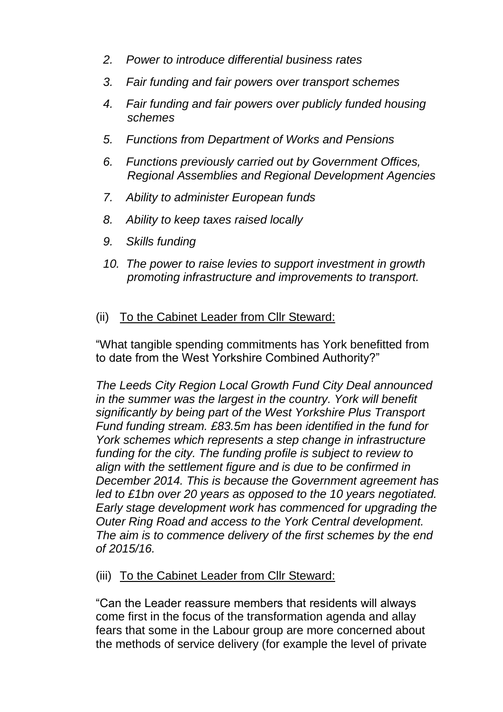- *2. Power to introduce differential business rates*
- *3. Fair funding and fair powers over transport schemes*
- *4. Fair funding and fair powers over publicly funded housing schemes*
- *5. Functions from Department of Works and Pensions*
- *6. Functions previously carried out by Government Offices, Regional Assemblies and Regional Development Agencies*
- *7. Ability to administer European funds*
- *8. Ability to keep taxes raised locally*
- *9. Skills funding*
- *10. The power to raise levies to support investment in growth promoting infrastructure and improvements to transport.*

### (ii) To the Cabinet Leader from Cllr Steward:

"What tangible spending commitments has York benefitted from to date from the West Yorkshire Combined Authority?"

*The Leeds City Region Local Growth Fund City Deal announced in the summer was the largest in the country. York will benefit significantly by being part of the West Yorkshire Plus Transport Fund funding stream. £83.5m has been identified in the fund for York schemes which represents a step change in infrastructure*  funding for the city. The funding profile is subject to review to *align with the settlement figure and is due to be confirmed in December 2014. This is because the Government agreement has led to £1bn over 20 years as opposed to the 10 years negotiated. Early stage development work has commenced for upgrading the Outer Ring Road and access to the York Central development. The aim is to commence delivery of the first schemes by the end of 2015/16.*

### (iii) To the Cabinet Leader from Cllr Steward:

"Can the Leader reassure members that residents will always come first in the focus of the transformation agenda and allay fears that some in the Labour group are more concerned about the methods of service delivery (for example the level of private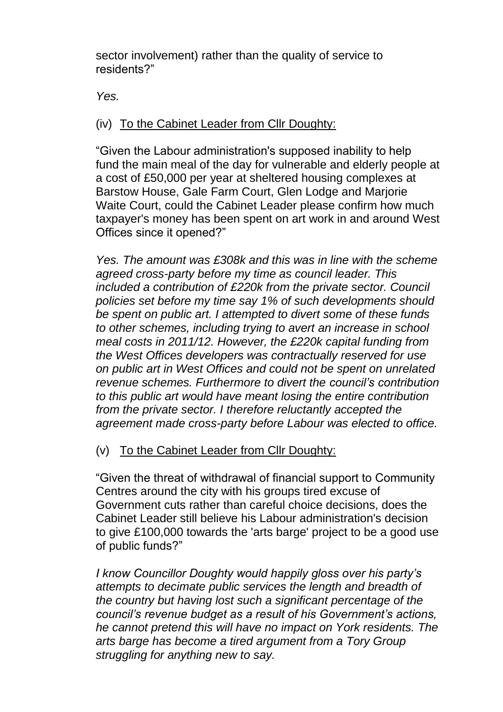sector involvement) rather than the quality of service to residents?"

*Yes.*

# (iv) To the Cabinet Leader from Cllr Doughty:

"Given the Labour administration's supposed inability to help fund the main meal of the day for vulnerable and elderly people at a cost of £50,000 per year at sheltered housing complexes at Barstow House, Gale Farm Court, Glen Lodge and Marjorie Waite Court, could the Cabinet Leader please confirm how much taxpayer's money has been spent on art work in and around West Offices since it opened?"

*Yes. The amount was £308k and this was in line with the scheme agreed cross-party before my time as council leader. This included a contribution of £220k from the private sector. Council policies set before my time say 1% of such developments should be spent on public art. I attempted to divert some of these funds to other schemes, including trying to avert an increase in school meal costs in 2011/12. However, the £220k capital funding from the West Offices developers was contractually reserved for use on public art in West Offices and could not be spent on unrelated revenue schemes. Furthermore to divert the council's contribution to this public art would have meant losing the entire contribution from the private sector. I therefore reluctantly accepted the agreement made cross-party before Labour was elected to office.*

# (v) To the Cabinet Leader from Cllr Doughty:

"Given the threat of withdrawal of financial support to Community Centres around the city with his groups tired excuse of Government cuts rather than careful choice decisions, does the Cabinet Leader still believe his Labour administration's decision to give £100,000 towards the 'arts barge' project to be a good use of public funds?"

*I know Councillor Doughty would happily gloss over his party's attempts to decimate public services the length and breadth of the country but having lost such a significant percentage of the council's revenue budget as a result of his Government's actions, he cannot pretend this will have no impact on York residents. The arts barge has become a tired argument from a Tory Group struggling for anything new to say.*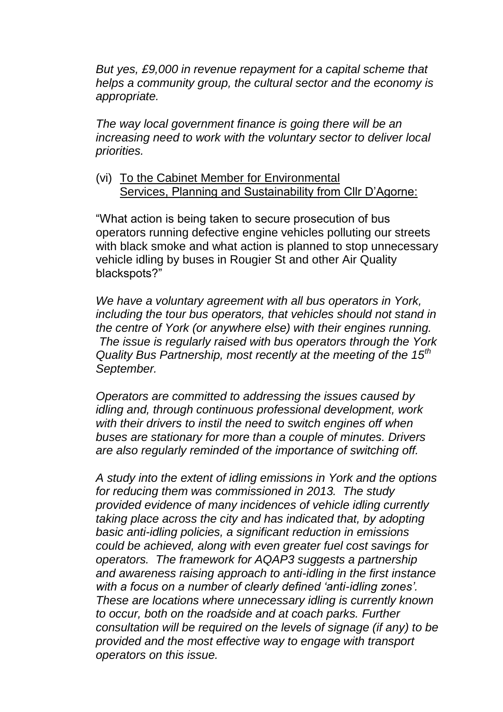*But yes, £9,000 in revenue repayment for a capital scheme that helps a community group, the cultural sector and the economy is appropriate.* 

*The way local government finance is going there will be an increasing need to work with the voluntary sector to deliver local priorities.*

(vi) To the Cabinet Member for Environmental Services, Planning and Sustainability from Cllr D'Agorne:

"What action is being taken to secure prosecution of bus operators running defective engine vehicles polluting our streets with black smoke and what action is planned to stop unnecessary vehicle idling by buses in Rougier St and other Air Quality blackspots?"

*We have a voluntary agreement with all bus operators in York, including the tour bus operators, that vehicles should not stand in the centre of York (or anywhere else) with their engines running. The issue is regularly raised with bus operators through the York Quality Bus Partnership, most recently at the meeting of the 15th September.* 

*Operators are committed to addressing the issues caused by idling and, through continuous professional development, work*  with their drivers to instil the need to switch engines off when *buses are stationary for more than a couple of minutes. Drivers are also regularly reminded of the importance of switching off.*

*A study into the extent of idling emissions in York and the options for reducing them was commissioned in 2013. The study provided evidence of many incidences of vehicle idling currently taking place across the city and has indicated that, by adopting basic anti-idling policies, a significant reduction in emissions could be achieved, along with even greater fuel cost savings for operators. The framework for AQAP3 suggests a partnership and awareness raising approach to anti-idling in the first instance with a focus on a number of clearly defined 'anti-idling zones'. These are locations where unnecessary idling is currently known to occur, both on the roadside and at coach parks. Further consultation will be required on the levels of signage (if any) to be provided and the most effective way to engage with transport operators on this issue.*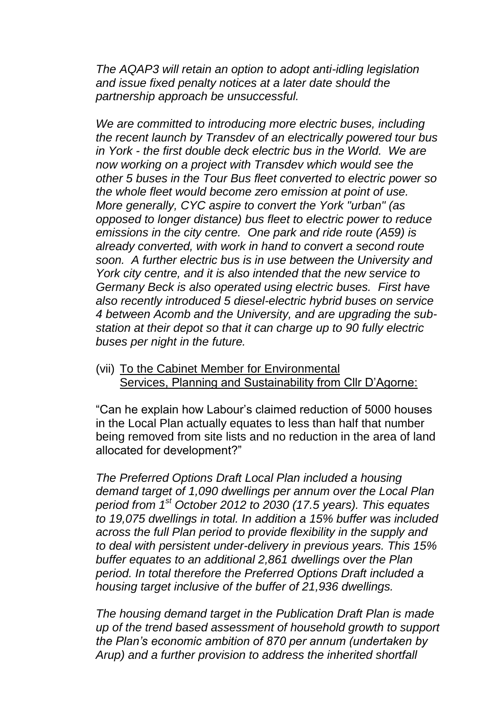*The AQAP3 will retain an option to adopt anti-idling legislation and issue fixed penalty notices at a later date should the partnership approach be unsuccessful.* 

*We are committed to introducing more electric buses, including the recent launch by Transdev of an electrically powered tour bus in York - the first double deck electric bus in the World. We are now working on a project with Transdev which would see the other 5 buses in the Tour Bus fleet converted to electric power so the whole fleet would become zero emission at point of use. More generally, CYC aspire to convert the York "urban" (as opposed to longer distance) bus fleet to electric power to reduce emissions in the city centre. One park and ride route (A59) is already converted, with work in hand to convert a second route soon. A further electric bus is in use between the University and York city centre, and it is also intended that the new service to Germany Beck is also operated using electric buses. First have also recently introduced 5 diesel-electric hybrid buses on service 4 between Acomb and the University, and are upgrading the substation at their depot so that it can charge up to 90 fully electric buses per night in the future.*

(vii) To the Cabinet Member for Environmental Services, Planning and Sustainability from Cllr D'Agorne:

"Can he explain how Labour's claimed reduction of 5000 houses in the Local Plan actually equates to less than half that number being removed from site lists and no reduction in the area of land allocated for development?"

*The Preferred Options Draft Local Plan included a housing demand target of 1,090 dwellings per annum over the Local Plan period from 1st October 2012 to 2030 (17.5 years). This equates to 19,075 dwellings in total. In addition a 15% buffer was included across the full Plan period to provide flexibility in the supply and to deal with persistent under-delivery in previous years. This 15% buffer equates to an additional 2,861 dwellings over the Plan period. In total therefore the Preferred Options Draft included a housing target inclusive of the buffer of 21,936 dwellings.*

*The housing demand target in the Publication Draft Plan is made up of the trend based assessment of household growth to support the Plan's economic ambition of 870 per annum (undertaken by Arup) and a further provision to address the inherited shortfall*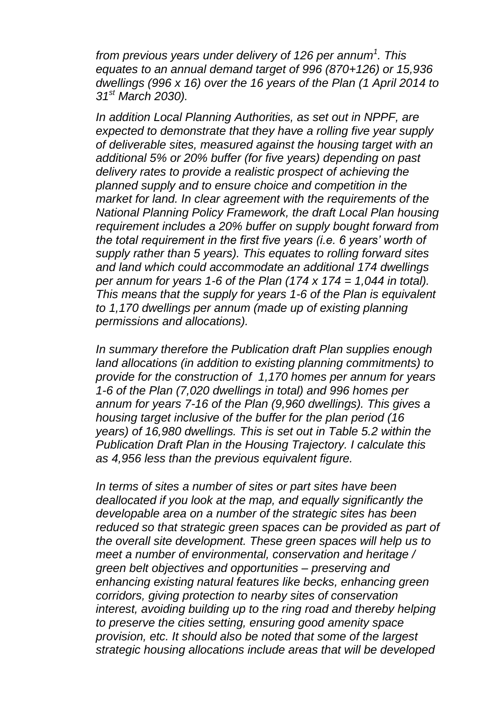*from previous years under delivery of 126 per annum<sup>1</sup> . This equates to an annual demand target of 996 (870+126) or 15,936 dwellings (996 x 16) over the 16 years of the Plan (1 April 2014 to 31st March 2030).*

*In addition Local Planning Authorities, as set out in NPPF, are expected to demonstrate that they have a rolling five year supply of deliverable sites, measured against the housing target with an additional 5% or 20% buffer (for five years) depending on past delivery rates to provide a realistic prospect of achieving the planned supply and to ensure choice and competition in the market for land. In clear agreement with the requirements of the National Planning Policy Framework, the draft Local Plan housing requirement includes a 20% buffer on supply bought forward from the total requirement in the first five years (i.e. 6 years' worth of supply rather than 5 years). This equates to rolling forward sites and land which could accommodate an additional 174 dwellings per annum for years 1-6 of the Plan (174 x 174 = 1,044 in total). This means that the supply for years 1-6 of the Plan is equivalent to 1,170 dwellings per annum (made up of existing planning permissions and allocations).*

*In summary therefore the Publication draft Plan supplies enough land allocations (in addition to existing planning commitments) to provide for the construction of 1,170 homes per annum for years 1-6 of the Plan (7,020 dwellings in total) and 996 homes per annum for years 7-16 of the Plan (9,960 dwellings). This gives a housing target inclusive of the buffer for the plan period (16 years) of 16,980 dwellings. This is set out in Table 5.2 within the Publication Draft Plan in the Housing Trajectory. I calculate this as 4,956 less than the previous equivalent figure.* 

*In terms of sites a number of sites or part sites have been deallocated if you look at the map, and equally significantly the developable area on a number of the strategic sites has been reduced so that strategic green spaces can be provided as part of the overall site development. These green spaces will help us to meet a number of environmental, conservation and heritage / green belt objectives and opportunities – preserving and enhancing existing natural features like becks, enhancing green corridors, giving protection to nearby sites of conservation interest, avoiding building up to the ring road and thereby helping to preserve the cities setting, ensuring good amenity space provision, etc. It should also be noted that some of the largest strategic housing allocations include areas that will be developed*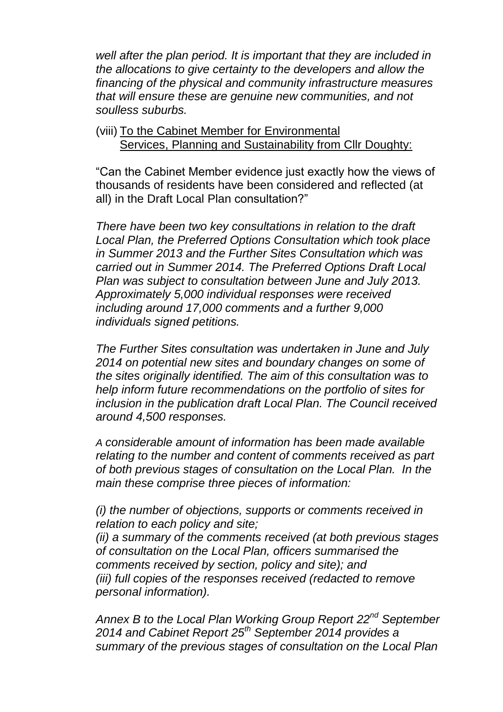*well after the plan period. It is important that they are included in the allocations to give certainty to the developers and allow the financing of the physical and community infrastructure measures that will ensure these are genuine new communities, and not soulless suburbs.*

(viii) To the Cabinet Member for Environmental Services, Planning and Sustainability from Cllr Doughty:

"Can the Cabinet Member evidence just exactly how the views of thousands of residents have been considered and reflected (at all) in the Draft Local Plan consultation?"

*There have been two key consultations in relation to the draft Local Plan, the Preferred Options Consultation which took place in Summer 2013 and the Further Sites Consultation which was carried out in Summer 2014. The Preferred Options Draft Local Plan was subject to consultation between June and July 2013. Approximately 5,000 individual responses were received including around 17,000 comments and a further 9,000 individuals signed petitions.*

*The Further Sites consultation was undertaken in June and July 2014 on potential new sites and boundary changes on some of the sites originally identified. The aim of this consultation was to help inform future recommendations on the portfolio of sites for inclusion in the publication draft Local Plan. The Council received around 4,500 responses.*

*A considerable amount of information has been made available relating to the number and content of comments received as part of both previous stages of consultation on the Local Plan. In the main these comprise three pieces of information:*

*(i) the number of objections, supports or comments received in relation to each policy and site;*

*(ii) a summary of the comments received (at both previous stages of consultation on the Local Plan, officers summarised the comments received by section, policy and site); and (iii) full copies of the responses received (redacted to remove personal information).*

*Annex B to the Local Plan Working Group Report 22nd September 2014 and Cabinet Report 25th September 2014 provides a summary of the previous stages of consultation on the Local Plan*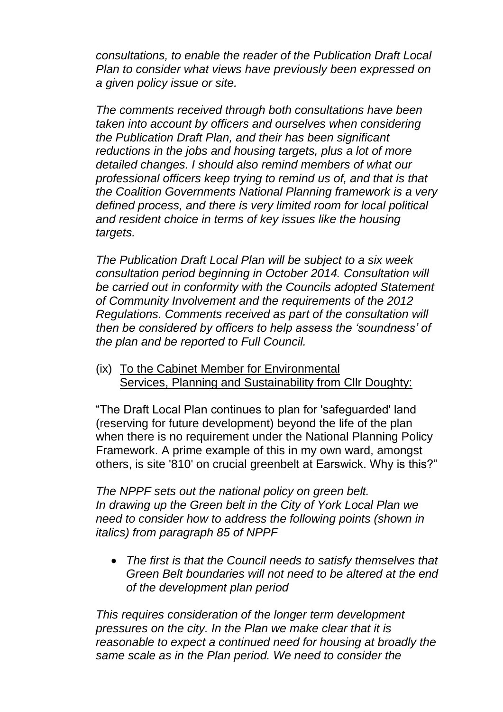*consultations, to enable the reader of the Publication Draft Local Plan to consider what views have previously been expressed on a given policy issue or site.*

*The comments received through both consultations have been taken into account by officers and ourselves when considering the Publication Draft Plan, and their has been significant reductions in the jobs and housing targets, plus a lot of more detailed changes. I should also remind members of what our professional officers keep trying to remind us of, and that is that the Coalition Governments National Planning framework is a very defined process, and there is very limited room for local political and resident choice in terms of key issues like the housing targets.* 

*The Publication Draft Local Plan will be subject to a six week consultation period beginning in October 2014. Consultation will be carried out in conformity with the Councils adopted Statement of Community Involvement and the requirements of the 2012 Regulations. Comments received as part of the consultation will then be considered by officers to help assess the 'soundness' of the plan and be reported to Full Council.* 

(ix) To the Cabinet Member for Environmental Services, Planning and Sustainability from Cllr Doughty:

"The Draft Local Plan continues to plan for 'safeguarded' land (reserving for future development) beyond the life of the plan when there is no requirement under the National Planning Policy Framework. A prime example of this in my own ward, amongst others, is site '810' on crucial greenbelt at Earswick. Why is this?"

*The NPPF sets out the national policy on green belt. In drawing up the Green belt in the City of York Local Plan we need to consider how to address the following points (shown in italics) from paragraph 85 of NPPF*

*The first is that the Council needs to satisfy themselves that Green Belt boundaries will not need to be altered at the end of the development plan period*

*This requires consideration of the longer term development pressures on the city. In the Plan we make clear that it is reasonable to expect a continued need for housing at broadly the same scale as in the Plan period. We need to consider the*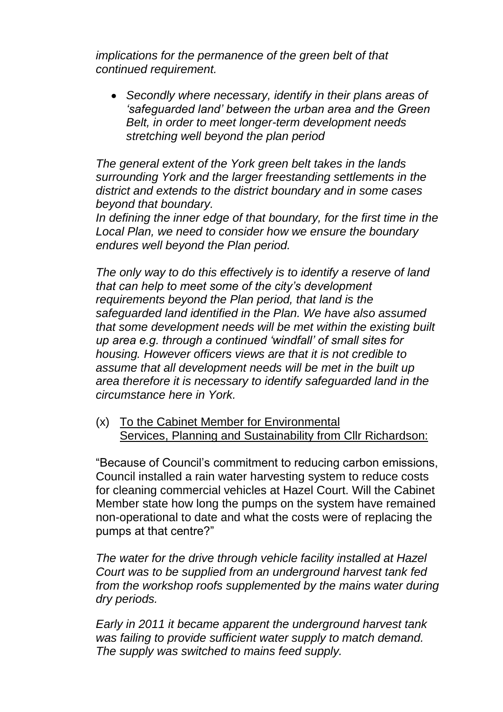*implications for the permanence of the green belt of that continued requirement.* 

*Secondly where necessary, identify in their plans areas of 'safeguarded land' between the urban area and the Green Belt, in order to meet longer-term development needs stretching well beyond the plan period*

*The general extent of the York green belt takes in the lands surrounding York and the larger freestanding settlements in the district and extends to the district boundary and in some cases beyond that boundary.* 

In defining the inner edge of that boundary, for the first time in the *Local Plan, we need to consider how we ensure the boundary endures well beyond the Plan period.* 

*The only way to do this effectively is to identify a reserve of land that can help to meet some of the city's development requirements beyond the Plan period, that land is the safeguarded land identified in the Plan. We have also assumed that some development needs will be met within the existing built up area e.g. through a continued 'windfall' of small sites for housing. However officers views are that it is not credible to assume that all development needs will be met in the built up area therefore it is necessary to identify safeguarded land in the circumstance here in York.* 

(x) To the Cabinet Member for Environmental Services, Planning and Sustainability from Cllr Richardson:

"Because of Council's commitment to reducing carbon emissions, Council installed a rain water harvesting system to reduce costs for cleaning commercial vehicles at Hazel Court. Will the Cabinet Member state how long the pumps on the system have remained non-operational to date and what the costs were of replacing the pumps at that centre?"

*The water for the drive through vehicle facility installed at Hazel Court was to be supplied from an underground harvest tank fed from the workshop roofs supplemented by the mains water during dry periods.* 

*Early in 2011 it became apparent the underground harvest tank was failing to provide sufficient water supply to match demand. The supply was switched to mains feed supply.*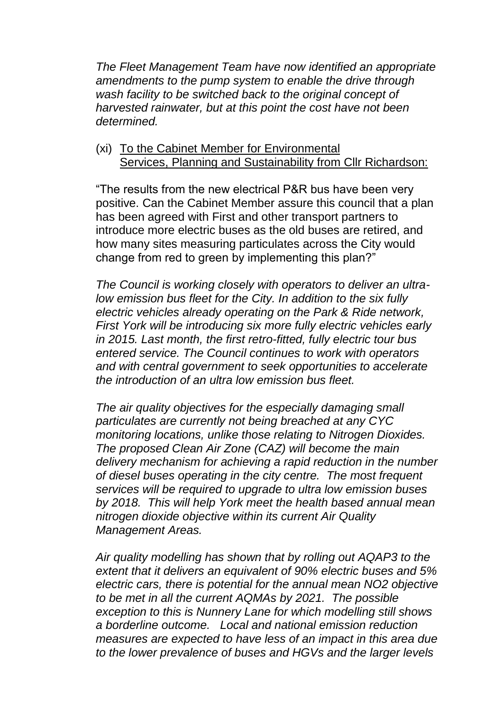*The Fleet Management Team have now identified an appropriate amendments to the pump system to enable the drive through wash facility to be switched back to the original concept of harvested rainwater, but at this point the cost have not been determined.* 

(xi) To the Cabinet Member for Environmental Services, Planning and Sustainability from Cllr Richardson:

"The results from the new electrical P&R bus have been very positive. Can the Cabinet Member assure this council that a plan has been agreed with First and other transport partners to introduce more electric buses as the old buses are retired, and how many sites measuring particulates across the City would change from red to green by implementing this plan?"

*The Council is working closely with operators to deliver an ultralow emission bus fleet for the City. In addition to the six fully electric vehicles already operating on the Park & Ride network, First York will be introducing six more fully electric vehicles early in 2015. Last month, the first retro-fitted, fully electric tour bus entered service. The Council continues to work with operators and with central government to seek opportunities to accelerate the introduction of an ultra low emission bus fleet.* 

*The air quality objectives for the especially damaging small particulates are currently not being breached at any CYC monitoring locations, unlike those relating to Nitrogen Dioxides. The proposed Clean Air Zone (CAZ) will become the main delivery mechanism for achieving a rapid reduction in the number of diesel buses operating in the city centre. The most frequent services will be required to upgrade to ultra low emission buses by 2018. This will help York meet the health based annual mean nitrogen dioxide objective within its current Air Quality Management Areas.* 

*Air quality modelling has shown that by rolling out AQAP3 to the extent that it delivers an equivalent of 90% electric buses and 5% electric cars, there is potential for the annual mean NO2 objective to be met in all the current AQMAs by 2021. The possible exception to this is Nunnery Lane for which modelling still shows a borderline outcome. Local and national emission reduction measures are expected to have less of an impact in this area due to the lower prevalence of buses and HGVs and the larger levels*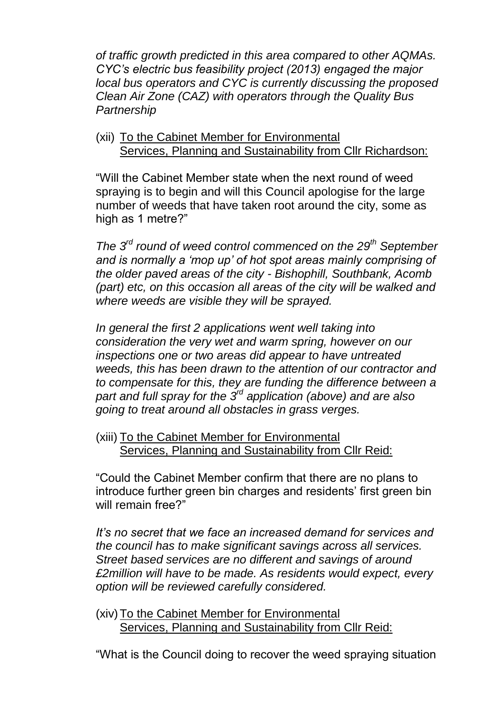*of traffic growth predicted in this area compared to other AQMAs. CYC's electric bus feasibility project (2013) engaged the major local bus operators and CYC is currently discussing the proposed Clean Air Zone (CAZ) with operators through the Quality Bus Partnership*

(xii) To the Cabinet Member for Environmental Services, Planning and Sustainability from Cllr Richardson:

"Will the Cabinet Member state when the next round of weed spraying is to begin and will this Council apologise for the large number of weeds that have taken root around the city, some as high as 1 metre?"

*The 3rd round of weed control commenced on the 29th September and is normally a 'mop up' of hot spot areas mainly comprising of the older paved areas of the city - Bishophill, Southbank, Acomb (part) etc, on this occasion all areas of the city will be walked and where weeds are visible they will be sprayed.*

*In general the first 2 applications went well taking into consideration the very wet and warm spring, however on our inspections one or two areas did appear to have untreated weeds, this has been drawn to the attention of our contractor and to compensate for this, they are funding the difference between a part and full spray for the 3rd application (above) and are also going to treat around all obstacles in grass verges.* 

(xiii) To the Cabinet Member for Environmental Services, Planning and Sustainability from Cllr Reid:

"Could the Cabinet Member confirm that there are no plans to introduce further green bin charges and residents' first green bin will remain free?"

*It's no secret that we face an increased demand for services and the council has to make significant savings across all services. Street based services are no different and savings of around £2million will have to be made. As residents would expect, every option will be reviewed carefully considered.*

(xiv)To the Cabinet Member for Environmental Services, Planning and Sustainability from Cllr Reid:

"What is the Council doing to recover the weed spraying situation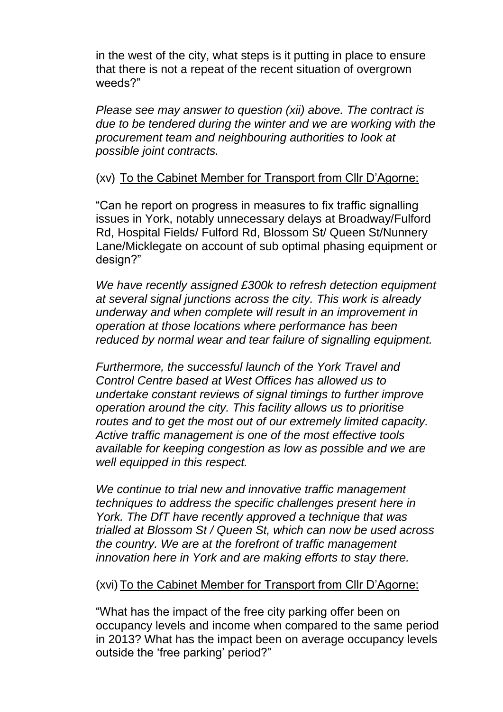in the west of the city, what steps is it putting in place to ensure that there is not a repeat of the recent situation of overgrown weeds?"

*Please see may answer to question (xii) above. The contract is due to be tendered during the winter and we are working with the procurement team and neighbouring authorities to look at possible joint contracts.*

#### (xv) To the Cabinet Member for Transport from Cllr D'Agorne:

"Can he report on progress in measures to fix traffic signalling issues in York, notably unnecessary delays at Broadway/Fulford Rd, Hospital Fields/ Fulford Rd, Blossom St/ Queen St/Nunnery Lane/Micklegate on account of sub optimal phasing equipment or design?"

*We have recently assigned £300k to refresh detection equipment at several signal junctions across the city. This work is already underway and when complete will result in an improvement in operation at those locations where performance has been reduced by normal wear and tear failure of signalling equipment.*

*Furthermore, the successful launch of the York Travel and Control Centre based at West Offices has allowed us to undertake constant reviews of signal timings to further improve operation around the city. This facility allows us to prioritise routes and to get the most out of our extremely limited capacity. Active traffic management is one of the most effective tools available for keeping congestion as low as possible and we are well equipped in this respect.*

*We continue to trial new and innovative traffic management techniques to address the specific challenges present here in York. The DfT have recently approved a technique that was trialled at Blossom St / Queen St, which can now be used across the country. We are at the forefront of traffic management innovation here in York and are making efforts to stay there.*

#### (xvi)To the Cabinet Member for Transport from Cllr D'Agorne:

"What has the impact of the free city parking offer been on occupancy levels and income when compared to the same period in 2013? What has the impact been on average occupancy levels outside the 'free parking' period?"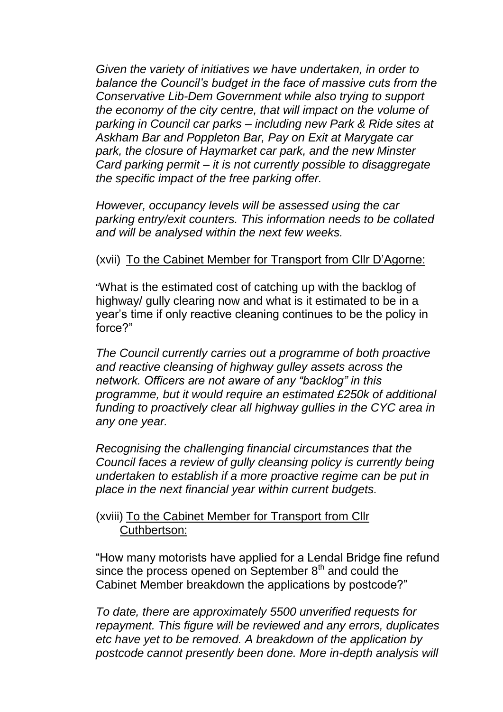*Given the variety of initiatives we have undertaken, in order to balance the Council's budget in the face of massive cuts from the Conservative Lib-Dem Government while also trying to support the economy of the city centre, that will impact on the volume of parking in Council car parks – including new Park & Ride sites at Askham Bar and Poppleton Bar, Pay on Exit at Marygate car park, the closure of Haymarket car park, and the new Minster Card parking permit – it is not currently possible to disaggregate the specific impact of the free parking offer.*

*However, occupancy levels will be assessed using the car parking entry/exit counters. This information needs to be collated and will be analysed within the next few weeks.*

#### (xvii) To the Cabinet Member for Transport from Cllr D'Agorne:

"What is the estimated cost of catching up with the backlog of highway/ gully clearing now and what is it estimated to be in a year's time if only reactive cleaning continues to be the policy in force?"

*The Council currently carries out a programme of both proactive and reactive cleansing of highway gulley assets across the network. Officers are not aware of any "backlog" in this programme, but it would require an estimated £250k of additional funding to proactively clear all highway gullies in the CYC area in any one year.*

*Recognising the challenging financial circumstances that the Council faces a review of gully cleansing policy is currently being undertaken to establish if a more proactive regime can be put in place in the next financial year within current budgets.* 

### (xviii) To the Cabinet Member for Transport from Cllr Cuthbertson:

"How many motorists have applied for a Lendal Bridge fine refund since the process opened on September  $8<sup>th</sup>$  and could the Cabinet Member breakdown the applications by postcode?"

*To date, there are approximately 5500 unverified requests for repayment. This figure will be reviewed and any errors, duplicates etc have yet to be removed. A breakdown of the application by postcode cannot presently been done. More in-depth analysis will*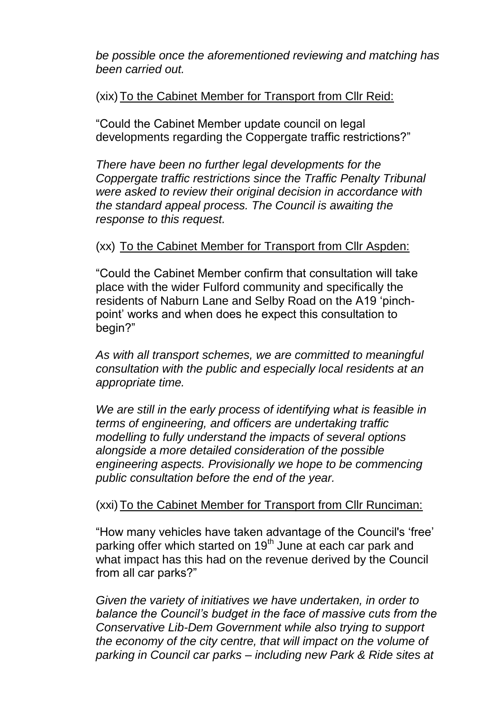*be possible once the aforementioned reviewing and matching has been carried out.*

#### (xix) To the Cabinet Member for Transport from Cllr Reid:

"Could the Cabinet Member update council on legal developments regarding the Coppergate traffic restrictions?"

*There have been no further legal developments for the Coppergate traffic restrictions since the Traffic Penalty Tribunal were asked to review their original decision in accordance with the standard appeal process. The Council is awaiting the response to this request.*

#### (xx) To the Cabinet Member for Transport from Cllr Aspden:

"Could the Cabinet Member confirm that consultation will take place with the wider Fulford community and specifically the residents of Naburn Lane and Selby Road on the A19 'pinchpoint' works and when does he expect this consultation to begin?"

*As with all transport schemes, we are committed to meaningful consultation with the public and especially local residents at an appropriate time.* 

*We are still in the early process of identifying what is feasible in terms of engineering, and officers are undertaking traffic modelling to fully understand the impacts of several options alongside a more detailed consideration of the possible engineering aspects. Provisionally we hope to be commencing public consultation before the end of the year.*

### (xxi) To the Cabinet Member for Transport from Cllr Runciman:

"How many vehicles have taken advantage of the Council's 'free' parking offer which started on 19<sup>th</sup> June at each car park and what impact has this had on the revenue derived by the Council from all car parks?"

*Given the variety of initiatives we have undertaken, in order to balance the Council's budget in the face of massive cuts from the Conservative Lib-Dem Government while also trying to support the economy of the city centre, that will impact on the volume of parking in Council car parks – including new Park & Ride sites at*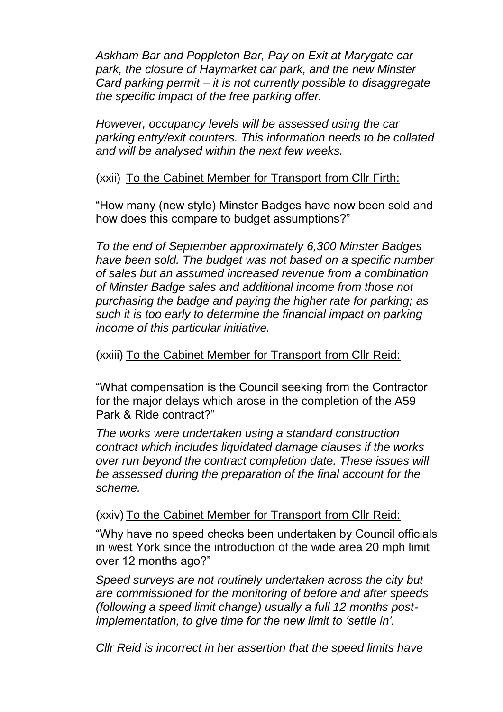*Askham Bar and Poppleton Bar, Pay on Exit at Marygate car park, the closure of Haymarket car park, and the new Minster Card parking permit – it is not currently possible to disaggregate the specific impact of the free parking offer.*

*However, occupancy levels will be assessed using the car parking entry/exit counters. This information needs to be collated and will be analysed within the next few weeks.*

#### (xxii) To the Cabinet Member for Transport from Cllr Firth:

"How many (new style) Minster Badges have now been sold and how does this compare to budget assumptions?"

*To the end of September approximately 6,300 Minster Badges have been sold. The budget was not based on a specific number of sales but an assumed increased revenue from a combination of Minster Badge sales and additional income from those not purchasing the badge and paying the higher rate for parking; as such it is too early to determine the financial impact on parking income of this particular initiative.*

### (xxiii) To the Cabinet Member for Transport from Cllr Reid:

"What compensation is the Council seeking from the Contractor for the major delays which arose in the completion of the A59 Park & Ride contract?"

*The works were undertaken using a standard construction contract which includes liquidated damage clauses if the works over run beyond the contract completion date. These issues will be assessed during the preparation of the final account for the scheme.*

(xxiv) To the Cabinet Member for Transport from Cllr Reid:

"Why have no speed checks been undertaken by Council officials in west York since the introduction of the wide area 20 mph limit over 12 months ago?"

*Speed surveys are not routinely undertaken across the city but are commissioned for the monitoring of before and after speeds (following a speed limit change) usually a full 12 months postimplementation, to give time for the new limit to 'settle in'.* 

*Cllr Reid is incorrect in her assertion that the speed limits have*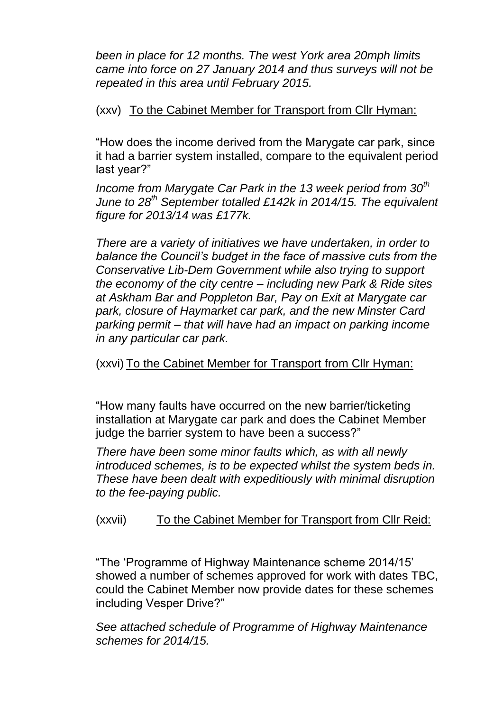*been in place for 12 months. The west York area 20mph limits came into force on 27 January 2014 and thus surveys will not be repeated in this area until February 2015.*

### (xxv) To the Cabinet Member for Transport from Cllr Hyman:

"How does the income derived from the Marygate car park, since it had a barrier system installed, compare to the equivalent period last year?"

*Income from Marygate Car Park in the 13 week period from 30th June to 28th September totalled £142k in 2014/15. The equivalent figure for 2013/14 was £177k.* 

*There are a variety of initiatives we have undertaken, in order to balance the Council's budget in the face of massive cuts from the Conservative Lib-Dem Government while also trying to support the economy of the city centre – including new Park & Ride sites at Askham Bar and Poppleton Bar, Pay on Exit at Marygate car park, closure of Haymarket car park, and the new Minster Card parking permit – that will have had an impact on parking income in any particular car park.*

(xxvi) To the Cabinet Member for Transport from Cllr Hyman:

"How many faults have occurred on the new barrier/ticketing installation at Marygate car park and does the Cabinet Member judge the barrier system to have been a success?"

*There have been some minor faults which, as with all newly introduced schemes, is to be expected whilst the system beds in. These have been dealt with expeditiously with minimal disruption to the fee-paying public.* 

# (xxvii) To the Cabinet Member for Transport from Cllr Reid:

"The 'Programme of Highway Maintenance scheme 2014/15' showed a number of schemes approved for work with dates TBC, could the Cabinet Member now provide dates for these schemes including Vesper Drive?"

*See attached schedule of Programme of Highway Maintenance schemes for 2014/15.*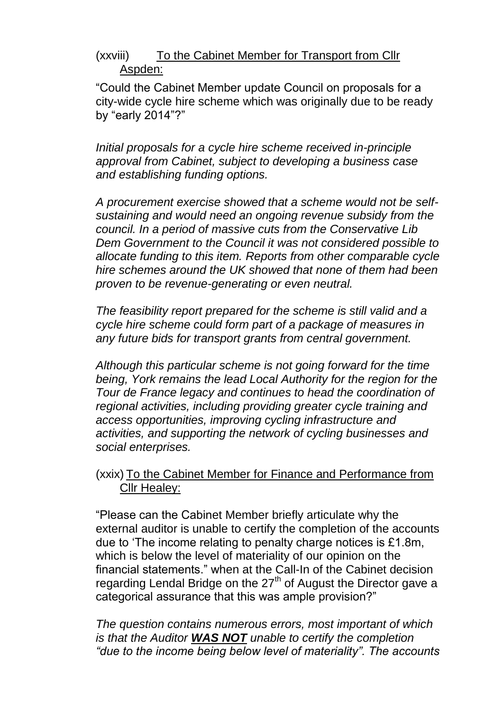### (xxviii) To the Cabinet Member for Transport from Cllr Aspden:

"Could the Cabinet Member update Council on proposals for a city-wide cycle hire scheme which was originally due to be ready by "early 2014"?"

*Initial proposals for a cycle hire scheme received in-principle approval from Cabinet, subject to developing a business case and establishing funding options.* 

*A procurement exercise showed that a scheme would not be selfsustaining and would need an ongoing revenue subsidy from the council. In a period of massive cuts from the Conservative Lib Dem Government to the Council it was not considered possible to allocate funding to this item. Reports from other comparable cycle hire schemes around the UK showed that none of them had been proven to be revenue-generating or even neutral.* 

*The feasibility report prepared for the scheme is still valid and a cycle hire scheme could form part of a package of measures in any future bids for transport grants from central government.*

*Although this particular scheme is not going forward for the time being, York remains the lead Local Authority for the region for the Tour de France legacy and continues to head the coordination of regional activities, including providing greater cycle training and access opportunities, improving cycling infrastructure and activities, and supporting the network of cycling businesses and social enterprises.*

### (xxix) To the Cabinet Member for Finance and Performance from Cllr Healey:

"Please can the Cabinet Member briefly articulate why the external auditor is unable to certify the completion of the accounts due to 'The income relating to penalty charge notices is £1.8m, which is below the level of materiality of our opinion on the financial statements." when at the Call-In of the Cabinet decision regarding Lendal Bridge on the 27<sup>th</sup> of August the Director gave a categorical assurance that this was ample provision?"

*The question contains numerous errors, most important of which is that the Auditor WAS NOT unable to certify the completion "due to the income being below level of materiality". The accounts*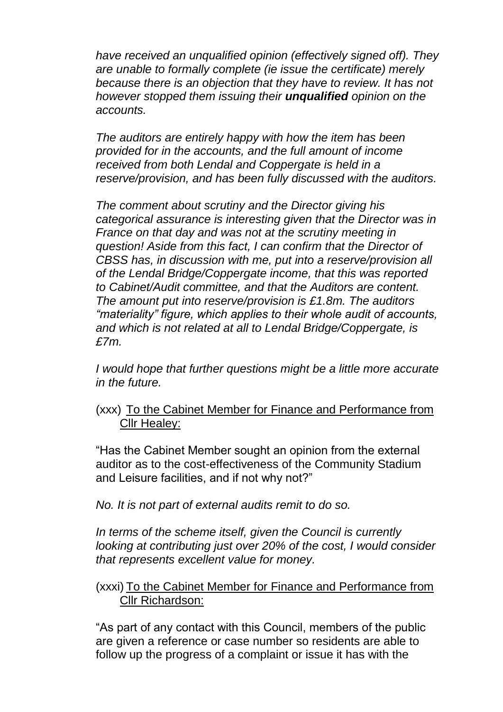*have received an unqualified opinion (effectively signed off). They are unable to formally complete (ie issue the certificate) merely because there is an objection that they have to review. It has not however stopped them issuing their unqualified opinion on the accounts.*

*The auditors are entirely happy with how the item has been provided for in the accounts, and the full amount of income received from both Lendal and Coppergate is held in a reserve/provision, and has been fully discussed with the auditors.* 

*The comment about scrutiny and the Director giving his categorical assurance is interesting given that the Director was in France on that day and was not at the scrutiny meeting in question! Aside from this fact, I can confirm that the Director of CBSS has, in discussion with me, put into a reserve/provision all of the Lendal Bridge/Coppergate income, that this was reported to Cabinet/Audit committee, and that the Auditors are content. The amount put into reserve/provision is £1.8m. The auditors "materiality" figure, which applies to their whole audit of accounts, and which is not related at all to Lendal Bridge/Coppergate, is £7m.* 

*I would hope that further questions might be a little more accurate in the future.*

#### (xxx) To the Cabinet Member for Finance and Performance from Cllr Healey:

"Has the Cabinet Member sought an opinion from the external auditor as to the cost-effectiveness of the Community Stadium and Leisure facilities, and if not why not?"

*No. It is not part of external audits remit to do so.* 

*In terms of the scheme itself, given the Council is currently looking at contributing just over 20% of the cost, I would consider that represents excellent value for money.* 

#### (xxxi) To the Cabinet Member for Finance and Performance from Cllr Richardson:

"As part of any contact with this Council, members of the public are given a reference or case number so residents are able to follow up the progress of a complaint or issue it has with the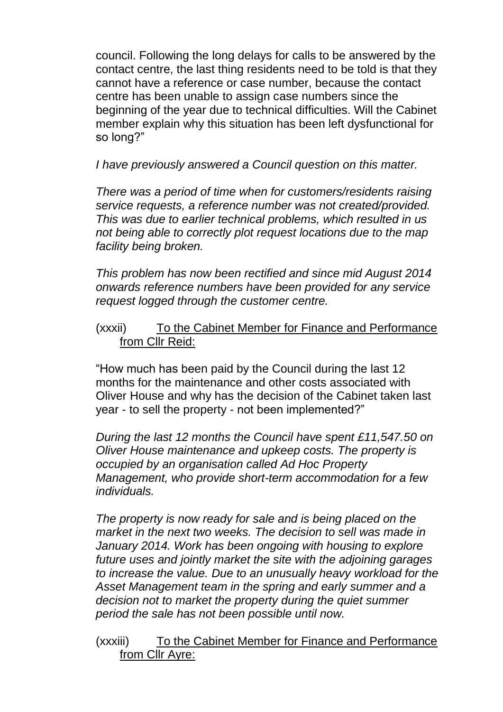council. Following the long delays for calls to be answered by the contact centre, the last thing residents need to be told is that they cannot have a reference or case number, because the contact centre has been unable to assign case numbers since the beginning of the year due to technical difficulties. Will the Cabinet member explain why this situation has been left dysfunctional for so long?"

*I have previously answered a Council question on this matter.*

*There was a period of time when for customers/residents raising service requests, a reference number was not created/provided. This was due to earlier technical problems, which resulted in us not being able to correctly plot request locations due to the map facility being broken.*

*This problem has now been rectified and since mid August 2014 onwards reference numbers have been provided for any service request logged through the customer centre.* 

#### (xxxii) To the Cabinet Member for Finance and Performance from Cllr Reid:

"How much has been paid by the Council during the last 12 months for the maintenance and other costs associated with Oliver House and why has the decision of the Cabinet taken last year - to sell the property - not been implemented?"

*During the last 12 months the Council have spent £11,547.50 on Oliver House maintenance and upkeep costs. The property is occupied by an organisation called Ad Hoc Property Management, who provide short-term accommodation for a few individuals.* 

*The property is now ready for sale and is being placed on the market in the next two weeks. The decision to sell was made in January 2014. Work has been ongoing with housing to explore future uses and jointly market the site with the adjoining garages to increase the value. Due to an unusually heavy workload for the Asset Management team in the spring and early summer and a decision not to market the property during the quiet summer period the sale has not been possible until now.*

(xxxiii) To the Cabinet Member for Finance and Performance from Cllr Ayre: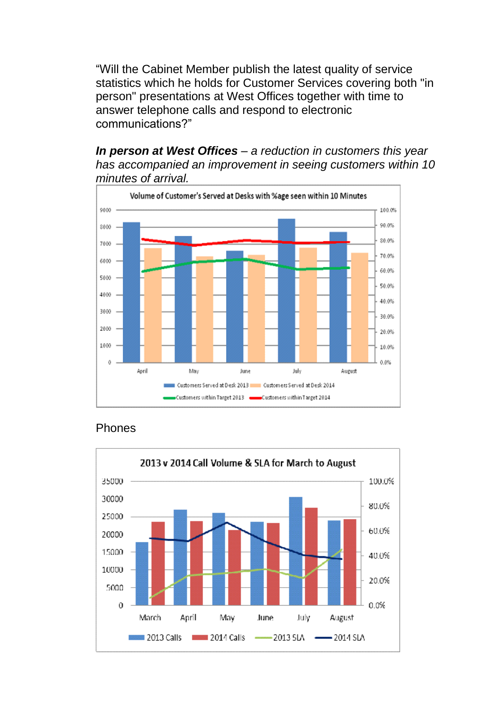"Will the Cabinet Member publish the latest quality of service statistics which he holds for Customer Services covering both "in person" presentations at West Offices together with time to answer telephone calls and respond to electronic communications?"

*In person at West Offices – a reduction in customers this year has accompanied an improvement in seeing customers within 10 minutes of arrival.*



#### Phones

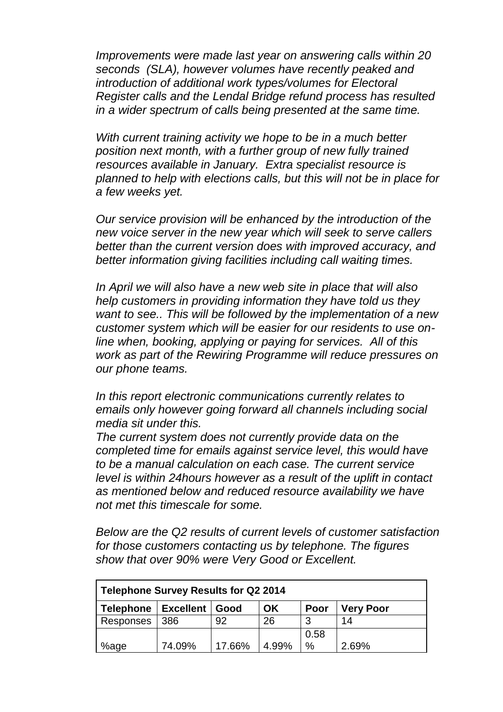*Improvements were made last year on answering calls within 20 seconds (SLA), however volumes have recently peaked and introduction of additional work types/volumes for Electoral Register calls and the Lendal Bridge refund process has resulted in a wider spectrum of calls being presented at the same time.*

*With current training activity we hope to be in a much better position next month, with a further group of new fully trained resources available in January. Extra specialist resource is planned to help with elections calls, but this will not be in place for a few weeks yet.*

*Our service provision will be enhanced by the introduction of the new voice server in the new year which will seek to serve callers better than the current version does with improved accuracy, and better information giving facilities including call waiting times.*

*In April we will also have a new web site in place that will also help customers in providing information they have told us they want to see.. This will be followed by the implementation of a new customer system which will be easier for our residents to use online when, booking, applying or paying for services. All of this work as part of the Rewiring Programme will reduce pressures on our phone teams.*

*In this report electronic communications currently relates to emails only however going forward all channels including social media sit under this.* 

*The current system does not currently provide data on the completed time for emails against service level, this would have to be a manual calculation on each case. The current service level is within 24hours however as a result of the uplift in contact as mentioned below and reduced resource availability we have not met this timescale for some.* 

*Below are the Q2 results of current levels of customer satisfaction for those customers contacting us by telephone. The figures show that over 90% were Very Good or Excellent.* 

| Telephone Survey Results for Q2 2014                                           |        |        |       |               |       |  |  |
|--------------------------------------------------------------------------------|--------|--------|-------|---------------|-------|--|--|
| <b>Excellent</b><br>OK<br><b>Telephone</b><br><b>Very Poor</b><br>Poor<br>Good |        |        |       |               |       |  |  |
| Responses                                                                      | 386    | 92     | 26    | 3             | 14    |  |  |
|                                                                                |        |        |       | 0.58          |       |  |  |
| %age                                                                           | 74.09% | 17.66% | 4.99% | $\frac{0}{0}$ | 2.69% |  |  |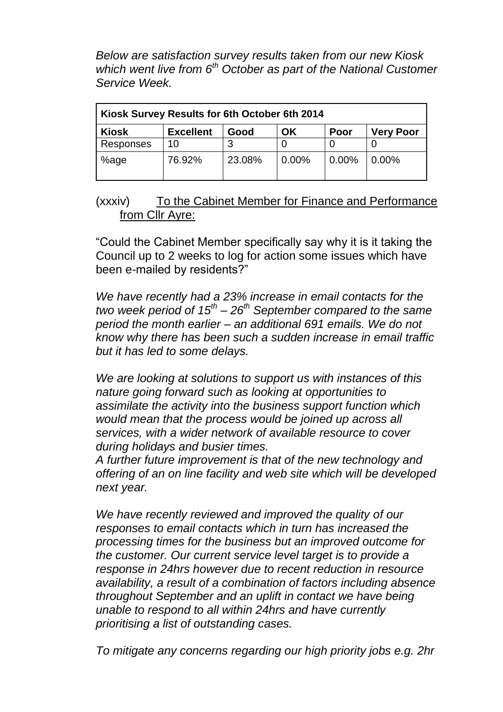*Below are satisfaction survey results taken from our new Kiosk which went live from 6th October as part of the National Customer Service Week.* 

| Kiosk Survey Results for 6th October 6th 2014                              |        |        |       |          |          |  |  |
|----------------------------------------------------------------------------|--------|--------|-------|----------|----------|--|--|
| <b>Kiosk</b><br><b>Excellent</b><br><b>Very Poor</b><br>ΟK<br>Poor<br>Good |        |        |       |          |          |  |  |
| Responses                                                                  | 10     | 3      |       |          |          |  |  |
| %age                                                                       | 76.92% | 23.08% | 0.00% | $0.00\%$ | $0.00\%$ |  |  |

#### (xxxiv) To the Cabinet Member for Finance and Performance from Cllr Ayre:

"Could the Cabinet Member specifically say why it is it taking the Council up to 2 weeks to log for action some issues which have been e-mailed by residents?"

*We have recently had a 23% increase in email contacts for the two week period of 15th – 26th September compared to the same period the month earlier – an additional 691 emails. We do not know why there has been such a sudden increase in email traffic but it has led to some delays.*

*We are looking at solutions to support us with instances of this nature going forward such as looking at opportunities to assimilate the activity into the business support function which would mean that the process would be joined up across all services, with a wider network of available resource to cover during holidays and busier times.*

*A further future improvement is that of the new technology and offering of an on line facility and web site which will be developed next year.* 

*We have recently reviewed and improved the quality of our responses to email contacts which in turn has increased the processing times for the business but an improved outcome for the customer. Our current service level target is to provide a response in 24hrs however due to recent reduction in resource availability, a result of a combination of factors including absence throughout September and an uplift in contact we have being unable to respond to all within 24hrs and have currently prioritising a list of outstanding cases.* 

*To mitigate any concerns regarding our high priority jobs e.g. 2hr*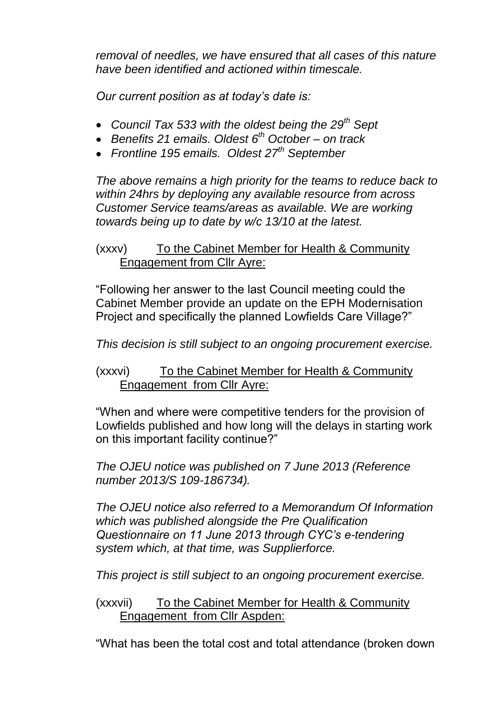*removal of needles, we have ensured that all cases of this nature have been identified and actioned within timescale.* 

*Our current position as at today's date is:*

- *Council Tax 533 with the oldest being the 29th Sept*
- *Benefits 21 emails. Oldest 6th October – on track*
- *Frontline 195 emails. Oldest 27th September*

*The above remains a high priority for the teams to reduce back to within 24hrs by deploying any available resource from across Customer Service teams/areas as available. We are working towards being up to date by w/c 13/10 at the latest.*

# (xxxv) To the Cabinet Member for Health & Community Engagement from Cllr Ayre:

"Following her answer to the last Council meeting could the Cabinet Member provide an update on the EPH Modernisation Project and specifically the planned Lowfields Care Village?"

*This decision is still subject to an ongoing procurement exercise.*

(xxxvi) To the Cabinet Member for Health & Community Engagement from Cllr Ayre:

"When and where were competitive tenders for the provision of Lowfields published and how long will the delays in starting work on this important facility continue?"

*The OJEU notice was published on 7 June 2013 (Reference number 2013/S 109-186734).*

*The OJEU notice also referred to a Memorandum Of Information which was published alongside the Pre Qualification Questionnaire on 11 June 2013 through CYC's e-tendering system which, at that time, was Supplierforce.* 

*This project is still subject to an ongoing procurement exercise.*

(xxxvii) To the Cabinet Member for Health & Community Engagement from Cllr Aspden:

"What has been the total cost and total attendance (broken down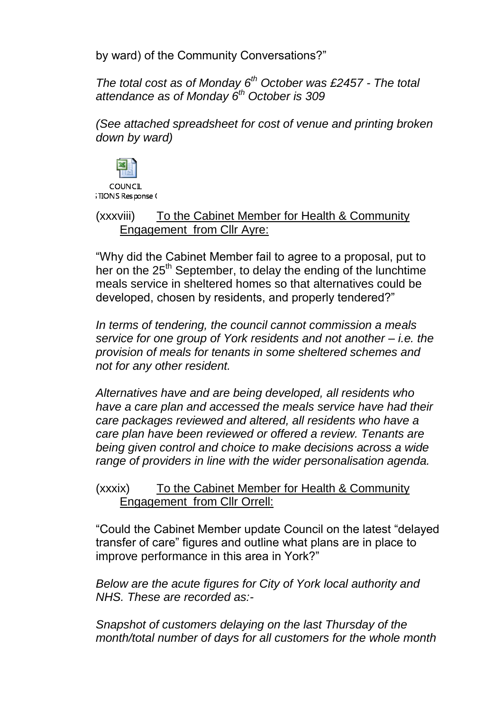by ward) of the Community Conversations?"

*The total cost as of Monday 6th October was £2457 - The total attendance as of Monday 6th October is 309*

*(See attached spreadsheet for cost of venue and printing broken down by ward)*



COUNCIL **TIONS** Response (

(xxxviii) To the Cabinet Member for Health & Community Engagement from Cllr Ayre:

"Why did the Cabinet Member fail to agree to a proposal, put to her on the 25<sup>th</sup> September, to delay the ending of the lunchtime meals service in sheltered homes so that alternatives could be developed, chosen by residents, and properly tendered?"

*In terms of tendering, the council cannot commission a meals service for one group of York residents and not another – i.e. the provision of meals for tenants in some sheltered schemes and not for any other resident.* 

*Alternatives have and are being developed, all residents who have a care plan and accessed the meals service have had their care packages reviewed and altered, all residents who have a care plan have been reviewed or offered a review. Tenants are being given control and choice to make decisions across a wide range of providers in line with the wider personalisation agenda.*

(xxxix) To the Cabinet Member for Health & Community Engagement from Cllr Orrell:

"Could the Cabinet Member update Council on the latest "delayed transfer of care" figures and outline what plans are in place to improve performance in this area in York?"

*Below are the acute figures for City of York local authority and NHS. These are recorded as:-*

*Snapshot of customers delaying on the last Thursday of the month/total number of days for all customers for the whole month*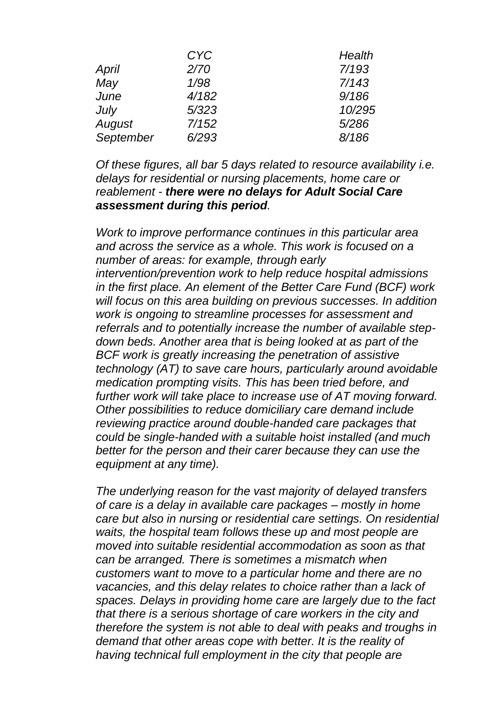| <b>CYC</b> | Health |
|------------|--------|
| 2/70       | 7/193  |
| 1/98       | 7/143  |
| 4/182      | 9/186  |
| 5/323      | 10/295 |
| 7/152      | 5/286  |
| 6/293      | 8/186  |
|            |        |

*Of these figures, all bar 5 days related to resource availability i.e. delays for residential or nursing placements, home care or reablement - there were no delays for Adult Social Care assessment during this period.* 

*Work to improve performance continues in this particular area and across the service as a whole. This work is focused on a number of areas: for example, through early intervention/prevention work to help reduce hospital admissions in the first place. An element of the Better Care Fund (BCF) work will focus on this area building on previous successes. In addition work is ongoing to streamline processes for assessment and referrals and to potentially increase the number of available stepdown beds. Another area that is being looked at as part of the BCF work is greatly increasing the penetration of assistive technology (AT) to save care hours, particularly around avoidable medication prompting visits. This has been tried before, and further work will take place to increase use of AT moving forward. Other possibilities to reduce domiciliary care demand include reviewing practice around double-handed care packages that could be single-handed with a suitable hoist installed (and much better for the person and their carer because they can use the equipment at any time).* 

*The underlying reason for the vast majority of delayed transfers of care is a delay in available care packages – mostly in home care but also in nursing or residential care settings. On residential waits, the hospital team follows these up and most people are moved into suitable residential accommodation as soon as that can be arranged. There is sometimes a mismatch when customers want to move to a particular home and there are no vacancies, and this delay relates to choice rather than a lack of spaces. Delays in providing home care are largely due to the fact that there is a serious shortage of care workers in the city and therefore the system is not able to deal with peaks and troughs in demand that other areas cope with better. It is the reality of having technical full employment in the city that people are*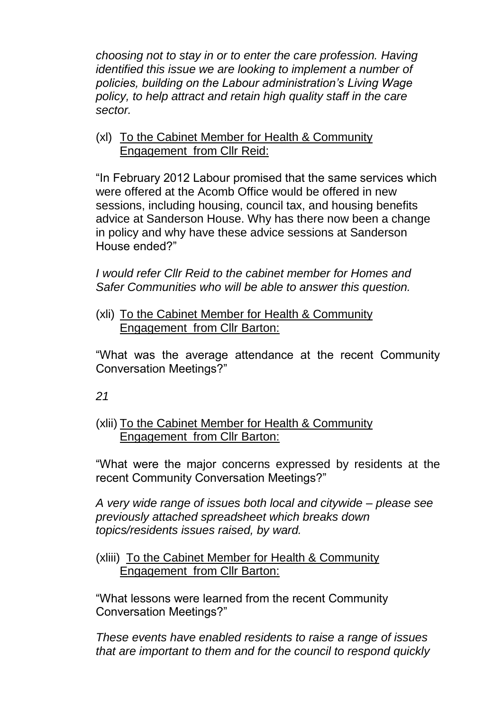*choosing not to stay in or to enter the care profession. Having identified this issue we are looking to implement a number of policies, building on the Labour administration's Living Wage policy, to help attract and retain high quality staff in the care sector.*

### (xl) To the Cabinet Member for Health & Community Engagement from Cllr Reid:

"In February 2012 Labour promised that the same services which were offered at the Acomb Office would be offered in new sessions, including housing, council tax, and housing benefits advice at Sanderson House. Why has there now been a change in policy and why have these advice sessions at Sanderson House ended?"

*I would refer Cllr Reid to the cabinet member for Homes and Safer Communities who will be able to answer this question.* 

(xli) To the Cabinet Member for Health & Community Engagement from Cllr Barton:

"What was the average attendance at the recent Community Conversation Meetings?"

*21*

### (xlii) To the Cabinet Member for Health & Community Engagement from Cllr Barton:

"What were the major concerns expressed by residents at the recent Community Conversation Meetings?"

*A very wide range of issues both local and citywide – please see previously attached spreadsheet which breaks down topics/residents issues raised, by ward.*

### (xliii) To the Cabinet Member for Health & Community Engagement from Cllr Barton:

"What lessons were learned from the recent Community Conversation Meetings?"

*These events have enabled residents to raise a range of issues that are important to them and for the council to respond quickly*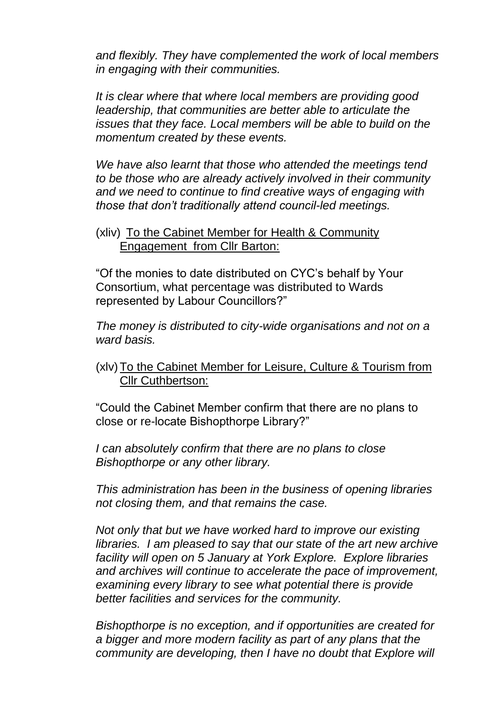*and flexibly. They have complemented the work of local members in engaging with their communities.*

*It is clear where that where local members are providing good leadership, that communities are better able to articulate the issues that they face. Local members will be able to build on the momentum created by these events.*

*We have also learnt that those who attended the meetings tend to be those who are already actively involved in their community and we need to continue to find creative ways of engaging with those that don't traditionally attend council-led meetings.*

#### (xliv) To the Cabinet Member for Health & Community Engagement from Cllr Barton:

"Of the monies to date distributed on CYC's behalf by Your Consortium, what percentage was distributed to Wards represented by Labour Councillors?"

*The money is distributed to city-wide organisations and not on a ward basis.* 

# (xlv) To the Cabinet Member for Leisure, Culture & Tourism from Cllr Cuthbertson:

"Could the Cabinet Member confirm that there are no plans to close or re-locate Bishopthorpe Library?"

*I can absolutely confirm that there are no plans to close Bishopthorpe or any other library.* 

*This administration has been in the business of opening libraries not closing them, and that remains the case.* 

*Not only that but we have worked hard to improve our existing libraries. I am pleased to say that our state of the art new archive facility will open on 5 January at York Explore. Explore libraries and archives will continue to accelerate the pace of improvement, examining every library to see what potential there is provide better facilities and services for the community.* 

*Bishopthorpe is no exception, and if opportunities are created for a bigger and more modern facility as part of any plans that the community are developing, then I have no doubt that Explore will*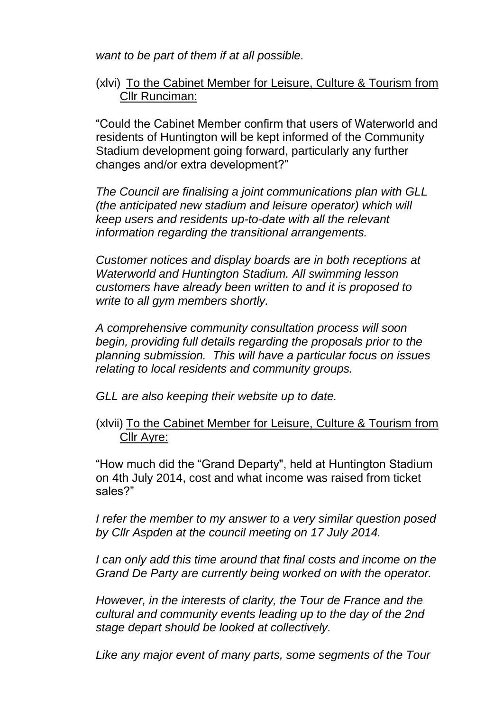*want to be part of them if at all possible.*

### (xlvi) To the Cabinet Member for Leisure, Culture & Tourism from Cllr Runciman:

"Could the Cabinet Member confirm that users of Waterworld and residents of Huntington will be kept informed of the Community Stadium development going forward, particularly any further changes and/or extra development?"

*The Council are finalising a joint communications plan with GLL (the anticipated new stadium and leisure operator) which will keep users and residents up-to-date with all the relevant information regarding the transitional arrangements.*

*Customer notices and display boards are in both receptions at Waterworld and Huntington Stadium. All swimming lesson customers have already been written to and it is proposed to write to all gym members shortly.*

*A comprehensive community consultation process will soon begin, providing full details regarding the proposals prior to the planning submission. This will have a particular focus on issues relating to local residents and community groups.*

*GLL are also keeping their website up to date.* 

(xlvii) To the Cabinet Member for Leisure, Culture & Tourism from Cllr Ayre:

"How much did the "Grand Departy", held at Huntington Stadium on 4th July 2014, cost and what income was raised from ticket sales?"

*I refer the member to my answer to a very similar question posed by Cllr Aspden at the council meeting on 17 July 2014.* 

*I can only add this time around that final costs and income on the Grand De Party are currently being worked on with the operator.*

*However, in the interests of clarity, the Tour de France and the cultural and community events leading up to the day of the 2nd stage depart should be looked at collectively.* 

*Like any major event of many parts, some segments of the Tour*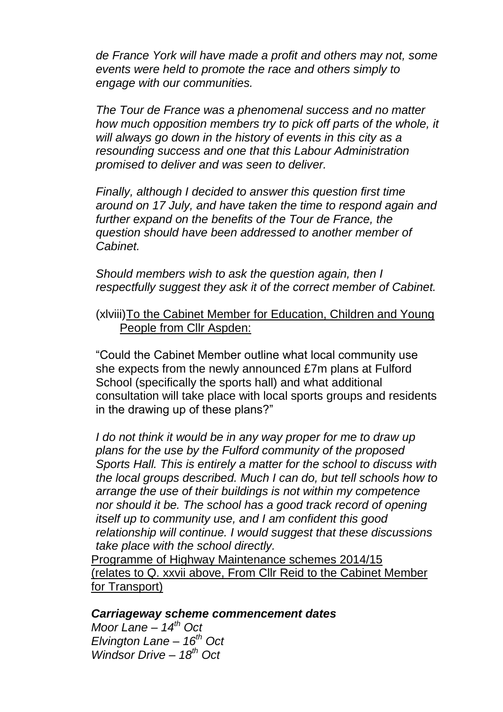*de France York will have made a profit and others may not, some events were held to promote the race and others simply to engage with our communities.*

*The Tour de France was a phenomenal success and no matter how much opposition members try to pick off parts of the whole, it will always go down in the history of events in this city as a resounding success and one that this Labour Administration promised to deliver and was seen to deliver.*

*Finally, although I decided to answer this question first time around on 17 July, and have taken the time to respond again and further expand on the benefits of the Tour de France, the question should have been addressed to another member of Cabinet.* 

*Should members wish to ask the question again, then I respectfully suggest they ask it of the correct member of Cabinet.* 

#### (xlviii)To the Cabinet Member for Education, Children and Young People from Cllr Aspden:

"Could the Cabinet Member outline what local community use she expects from the newly announced £7m plans at Fulford School (specifically the sports hall) and what additional consultation will take place with local sports groups and residents in the drawing up of these plans?"

*I do not think it would be in any way proper for me to draw up plans for the use by the Fulford community of the proposed Sports Hall. This is entirely a matter for the school to discuss with the local groups described. Much I can do, but tell schools how to arrange the use of their buildings is not within my competence nor should it be. The school has a good track record of opening itself up to community use, and I am confident this good relationship will continue. I would suggest that these discussions take place with the school directly.* 

Programme of Highway Maintenance schemes 2014/15 (relates to Q. xxvii above, From Cllr Reid to the Cabinet Member for Transport)

#### *Carriageway scheme commencement dates*

*Moor Lane – 14th Oct Elvington Lane – 16th Oct Windsor Drive – 18th Oct*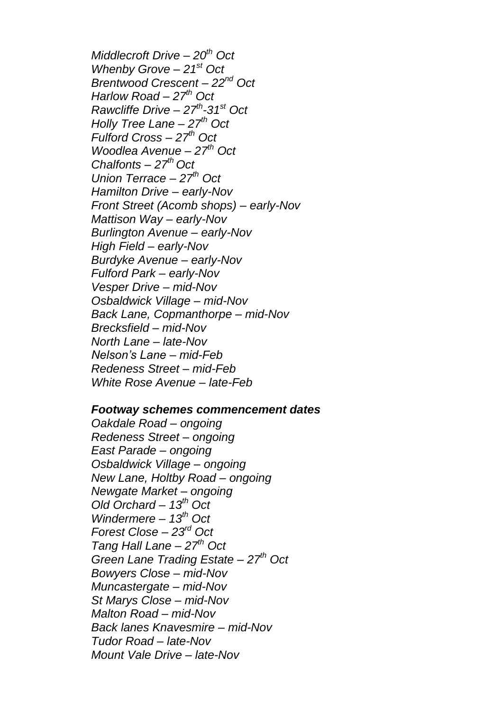*Middlecroft Drive – 20th Oct Whenby Grove – 21st Oct Brentwood Crescent – 22nd Oct Harlow Road – 27th Oct Rawcliffe Drive – 27th -31st Oct Holly Tree Lane – 27th Oct Fulford Cross – 27th Oct Woodlea Avenue – 27th Oct Chalfonts – 27th Oct Union Terrace – 27th Oct Hamilton Drive – early-Nov Front Street (Acomb shops) – early-Nov Mattison Way – early-Nov Burlington Avenue – early-Nov High Field – early-Nov Burdyke Avenue – early-Nov Fulford Park – early-Nov Vesper Drive – mid-Nov Osbaldwick Village – mid-Nov Back Lane, Copmanthorpe – mid-Nov Brecksfield – mid-Nov North Lane – late-Nov Nelson's Lane – mid-Feb Redeness Street – mid-Feb White Rose Avenue – late-Feb*

#### *Footway schemes commencement dates*

*Oakdale Road – ongoing Redeness Street – ongoing East Parade – ongoing Osbaldwick Village – ongoing New Lane, Holtby Road – ongoing Newgate Market – ongoing Old Orchard – 13th Oct Windermere – 13th Oct Forest Close – 23rd Oct Tang Hall Lane – 27th Oct Green Lane Trading Estate – 27th Oct Bowyers Close – mid-Nov Muncastergate – mid-Nov St Marys Close – mid-Nov Malton Road – mid-Nov Back lanes Knavesmire – mid-Nov Tudor Road – late-Nov Mount Vale Drive – late-Nov*